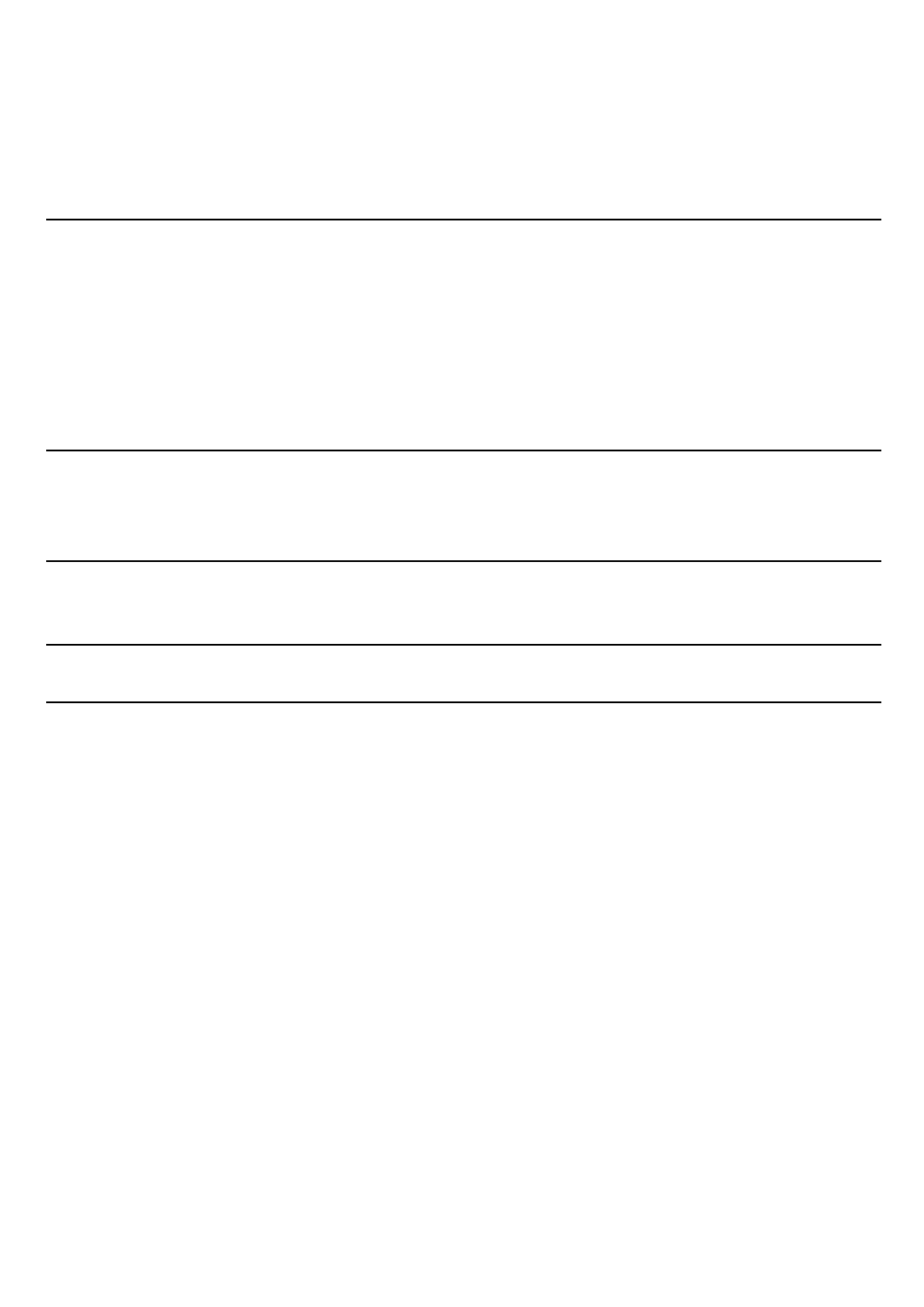# No detection of TSH or TSHR in oral lichen planus lesions in patients with or without hypothyroidism

Vehviläinen, Mari

2020-07-03

Vehviläinen , M , Salem , A , Asghar , M Y , Salo , T & Siponen , M 2020 , ' No detection of TSH or TSHR in oral lichen planus lesions in patients with or without hypothyroidism ' , Acta Odontologica Scandinavica , vol. 78 , no. 5 , pp. 337-344 . https://doi.org/10.1080/00016357.2020.1720798

http://hdl.handle.net/10138/326068 https://doi.org/10.1080/00016357.2020.1720798

acceptedVersion

Downloaded from Helda, University of Helsinki institutional repository.

This is an electronic reprint of the original article.

This reprint may differ from the original in pagination and typographic detail.

Please cite the original version.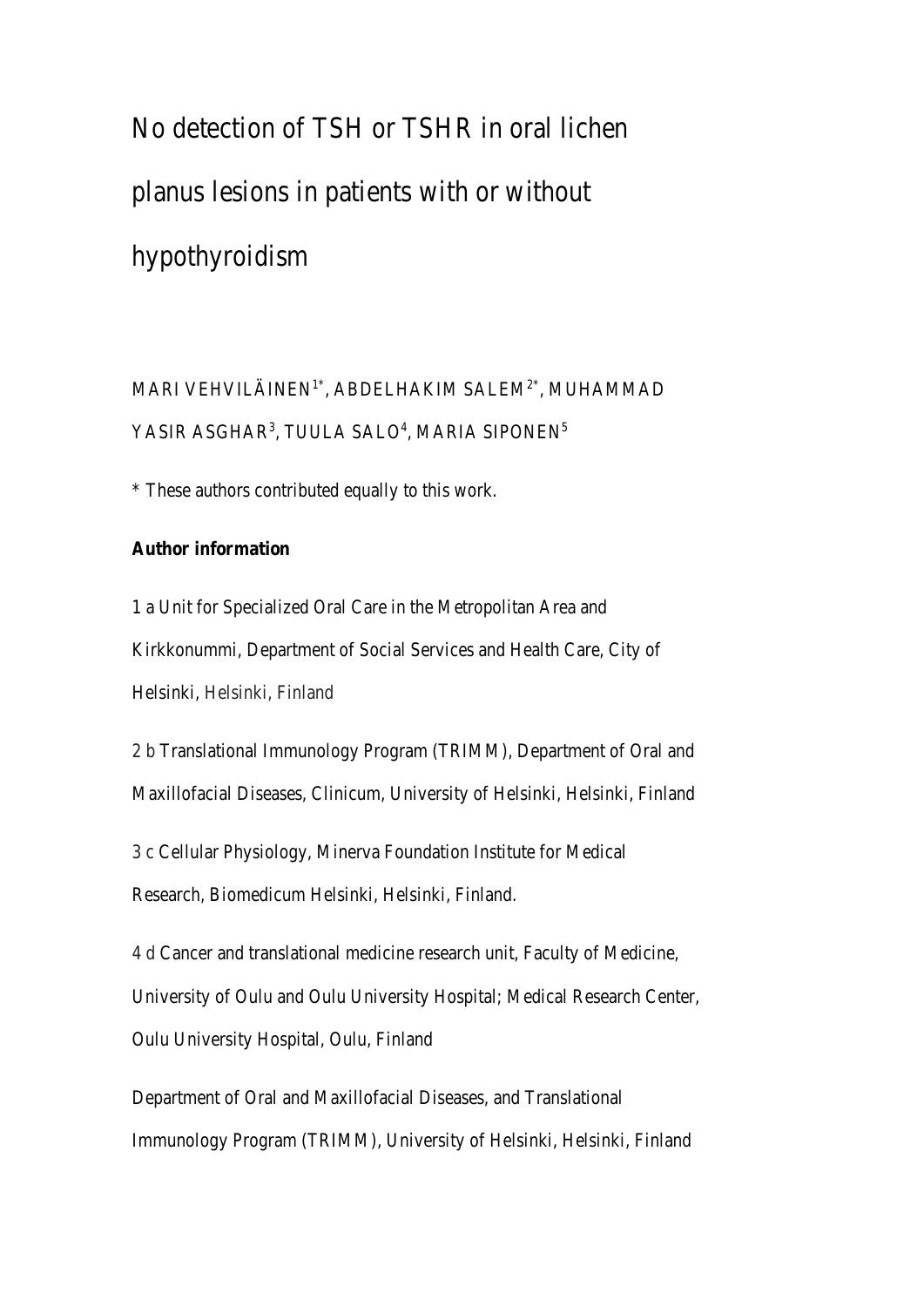# No detection of TSH or TSHR in oral lichen planus lesions in patients with or without hypothyroidism

MARI VEHVILÄINEN $^{\rm 1*}$ , ABDELHAKIM SALEM $^{\rm 2*}$ , MUHAMMAD YASIR ASGHAR<sup>3</sup>, TUULA SALO<sup>4</sup>, MARIA SIPONEN<sup>5</sup>

\* These authors contributed equally to this work.

#### **Author information**

1 a Unit for Specialized Oral Care in the Metropolitan Area and Kirkkonummi, Department of Social Services and Health Care, City of Helsinki, Helsinki, Finland

2 b Translational Immunology Program (TRIMM), Department of Oral and Maxillofacial Diseases, Clinicum, University of Helsinki, Helsinki, Finland

3 c Cellular Physiology, Minerva Foundation Institute for Medical Research, Biomedicum Helsinki, Helsinki, Finland.

4 d Cancer and translational medicine research unit, Faculty of Medicine, University of Oulu and Oulu University Hospital; Medical Research Center, Oulu University Hospital, Oulu, Finland

Department of Oral and Maxillofacial Diseases, and Translational Immunology Program (TRIMM), University of Helsinki, Helsinki, Finland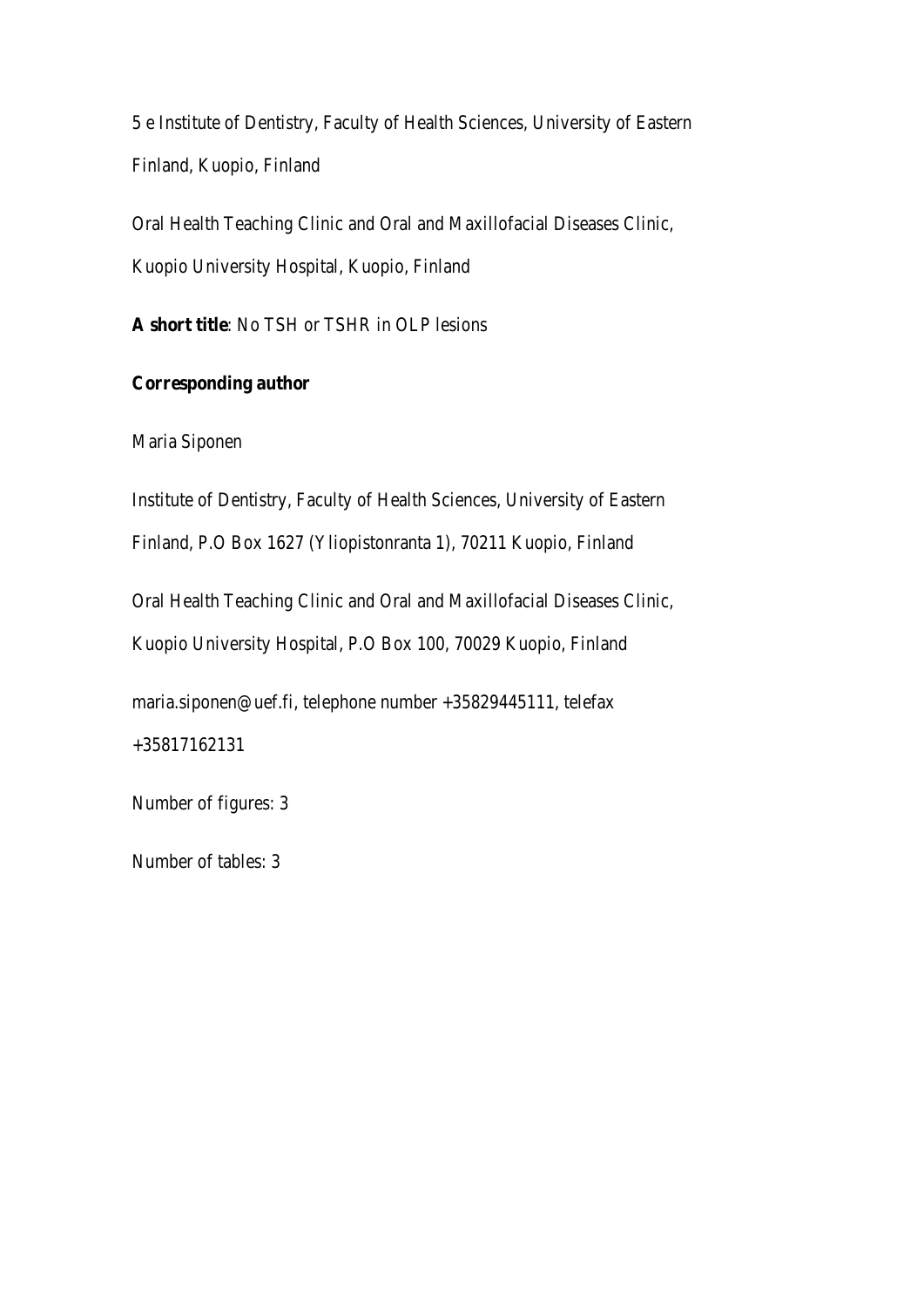5 e Institute of Dentistry, Faculty of Health Sciences, University of Eastern Finland, Kuopio, Finland

Oral Health Teaching Clinic and Oral and Maxillofacial Diseases Clinic, Kuopio University Hospital, Kuopio, Finland

**A short title**: No TSH or TSHR in OLP lesions

#### **Corresponding author**

Maria Siponen

Institute of Dentistry, Faculty of Health Sciences, University of Eastern

Finland, P.O Box 1627 (Yliopistonranta 1), 70211 Kuopio, Finland

Oral Health Teaching Clinic and Oral and Maxillofacial Diseases Clinic,

Kuopio University Hospital, P.O Box 100, 70029 Kuopio, Finland

maria.siponen@uef.fi, telephone number +35829445111, telefax

+35817162131

Number of figures: 3

Number of tables: 3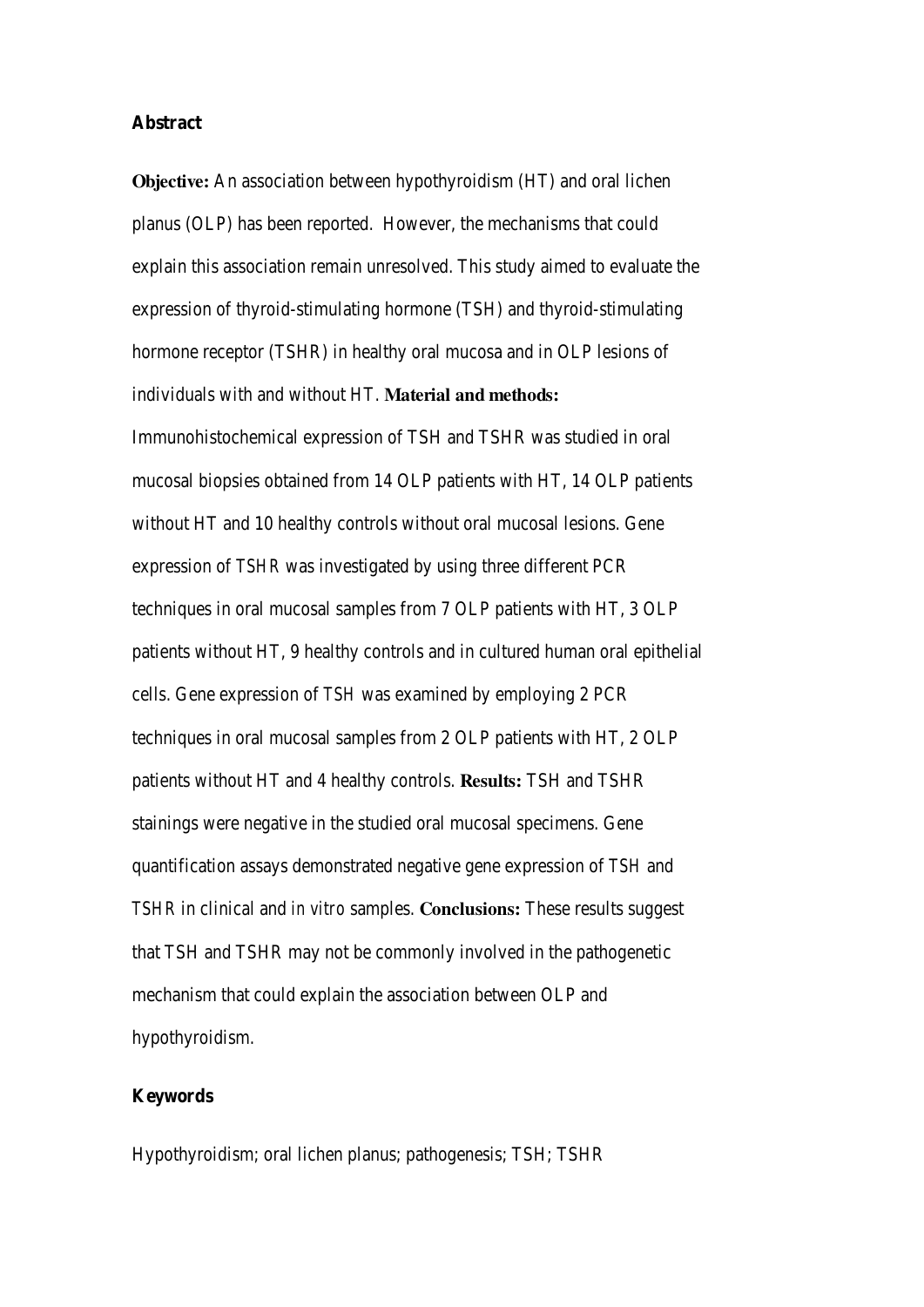#### **Abstract**

**Objective:** An association between hypothyroidism (HT) and oral lichen planus (OLP) has been reported. However, the mechanisms that could explain this association remain unresolved. This study aimed to evaluate the expression of thyroid-stimulating hormone (TSH) and thyroid-stimulating hormone receptor (TSHR) in healthy oral mucosa and in OLP lesions of individuals with and without HT. *Material and methods:* 

Immunohistochemical expression of TSH and TSHR was studied in oral mucosal biopsies obtained from 14 OLP patients with HT, 14 OLP patients without HT and 10 healthy controls without oral mucosal lesions. Gene expression of *TSHR* was investigated by using three different PCR techniques in oral mucosal samples from 7 OLP patients with HT, 3 OLP patients without HT, 9 healthy controls and in cultured human oral epithelial cells. Gene expression of *TSH* was examined by employing 2 PCR techniques in oral mucosal samples from 2 OLP patients with HT, 2 OLP patients without HT and 4 healthy controls. *Results:* TSH and TSHR stainings were negative in the studied oral mucosal specimens. Gene quantification assays demonstrated negative gene expression of *TSH* and *TSHR* in clinical and *in vitro* samples. *Conclusions:* These results suggest that TSH and TSHR may not be commonly involved in the pathogenetic mechanism that could explain the association between OLP and hypothyroidism.

#### **Keywords**

Hypothyroidism; oral lichen planus; pathogenesis; TSH; TSHR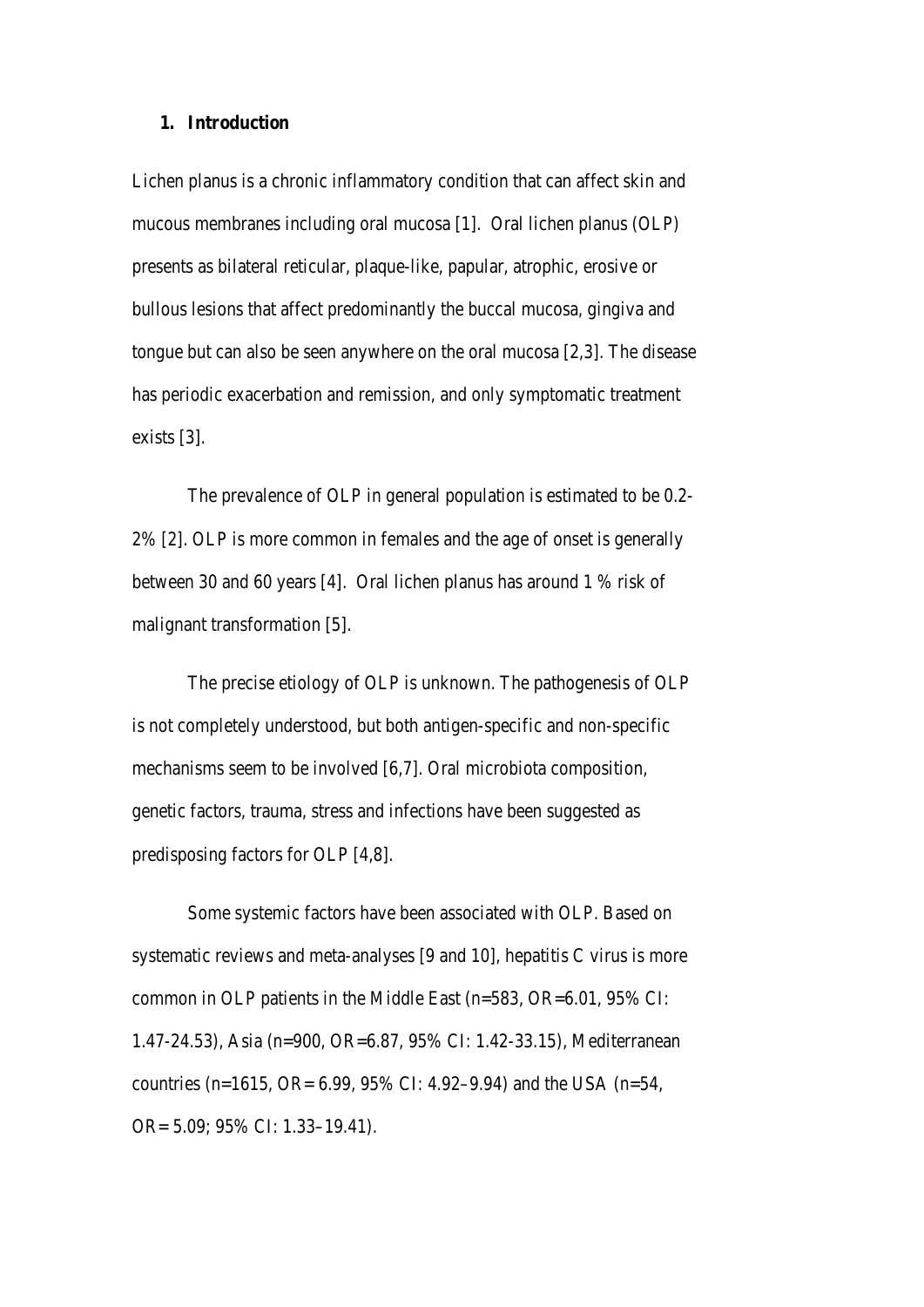#### **1. Introduction**

Lichen planus is a chronic inflammatory condition that can affect skin and mucous membranes including oral mucosa [1]. Oral lichen planus (OLP) presents as bilateral reticular, plaque-like, papular, atrophic, erosive or bullous lesions that affect predominantly the buccal mucosa, gingiva and tongue but can also be seen anywhere on the oral mucosa [2,3]. The disease has periodic exacerbation and remission, and only symptomatic treatment exists [3].

The prevalence of OLP in general population is estimated to be 0.2- 2% [2]. OLP is more common in females and the age of onset is generally between 30 and 60 years [4]. Oral lichen planus has around 1 % risk of malignant transformation [5].

The precise etiology of OLP is unknown. The pathogenesis of OLP is not completely understood, but both antigen-specific and non-specific mechanisms seem to be involved [6,7]. Oral microbiota composition, genetic factors, trauma, stress and infections have been suggested as predisposing factors for OLP [4,8].

Some systemic factors have been associated with OLP. Based on systematic reviews and meta-analyses [9 and 10], hepatitis C virus is more common in OLP patients in the Middle East (n=583, OR=6.01, 95% CI: 1.47-24.53), Asia (n=900, OR=6.87, 95% CI: 1.42-33.15), Mediterranean countries (n=1615, OR= 6.99, 95% CI: 4.92–9.94) and the USA (n=54, OR= 5.09; 95% CI: 1.33–19.41).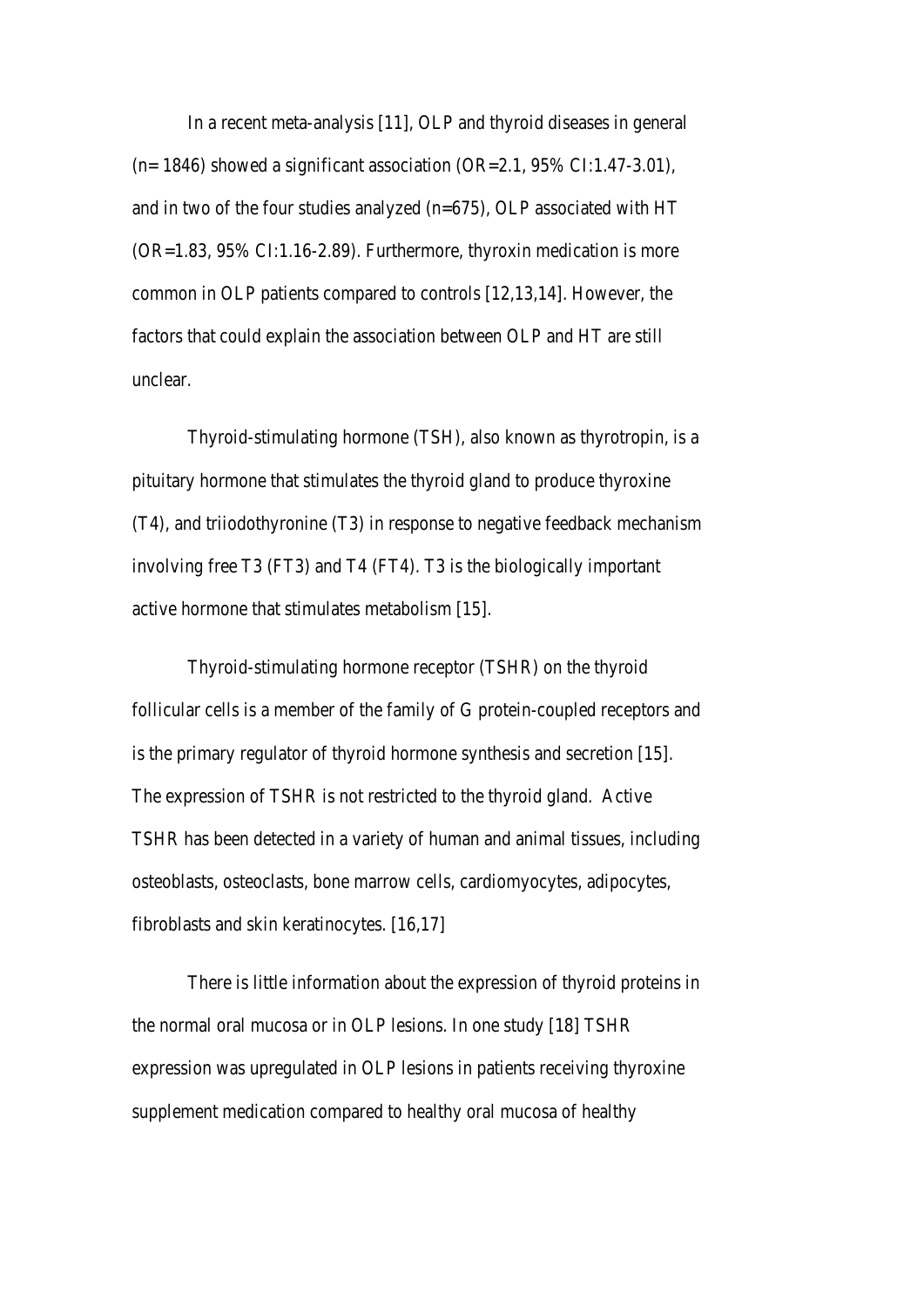In a recent meta-analysis [11], OLP and thyroid diseases in general  $(n= 1846)$  showed a significant association  $(OR=2.1, 95\% \text{ CI}: 1.47-3.01)$ , and in two of the four studies analyzed (n=675), OLP associated with HT (OR=1.83, 95% CI:1.16-2.89). Furthermore, thyroxin medication is more common in OLP patients compared to controls [12,13,14]. However, the factors that could explain the association between OLP and HT are still unclear.

Thyroid-stimulating hormone (TSH), also known as thyrotropin, is a pituitary hormone that stimulates the thyroid gland to produce thyroxine (T4), and triiodothyronine (T3) in response to negative feedback mechanism involving free T3 (FT3) and T4 (FT4). T3 is the biologically important active hormone that stimulates metabolism [15].

Thyroid-stimulating hormone receptor (TSHR) on the thyroid follicular cells is a member of the family of G protein-coupled receptors and is the primary regulator of thyroid hormone synthesis and secretion [15]. The expression of TSHR is not restricted to the thyroid gland. Active TSHR has been detected in a variety of human and animal tissues, including osteoblasts, osteoclasts, bone marrow cells, cardiomyocytes, adipocytes, fibroblasts and skin keratinocytes. [16,17]

There is little information about the expression of thyroid proteins in the normal oral mucosa or in OLP lesions. In one study [18] TSHR expression was upregulated in OLP lesions in patients receiving thyroxine supplement medication compared to healthy oral mucosa of healthy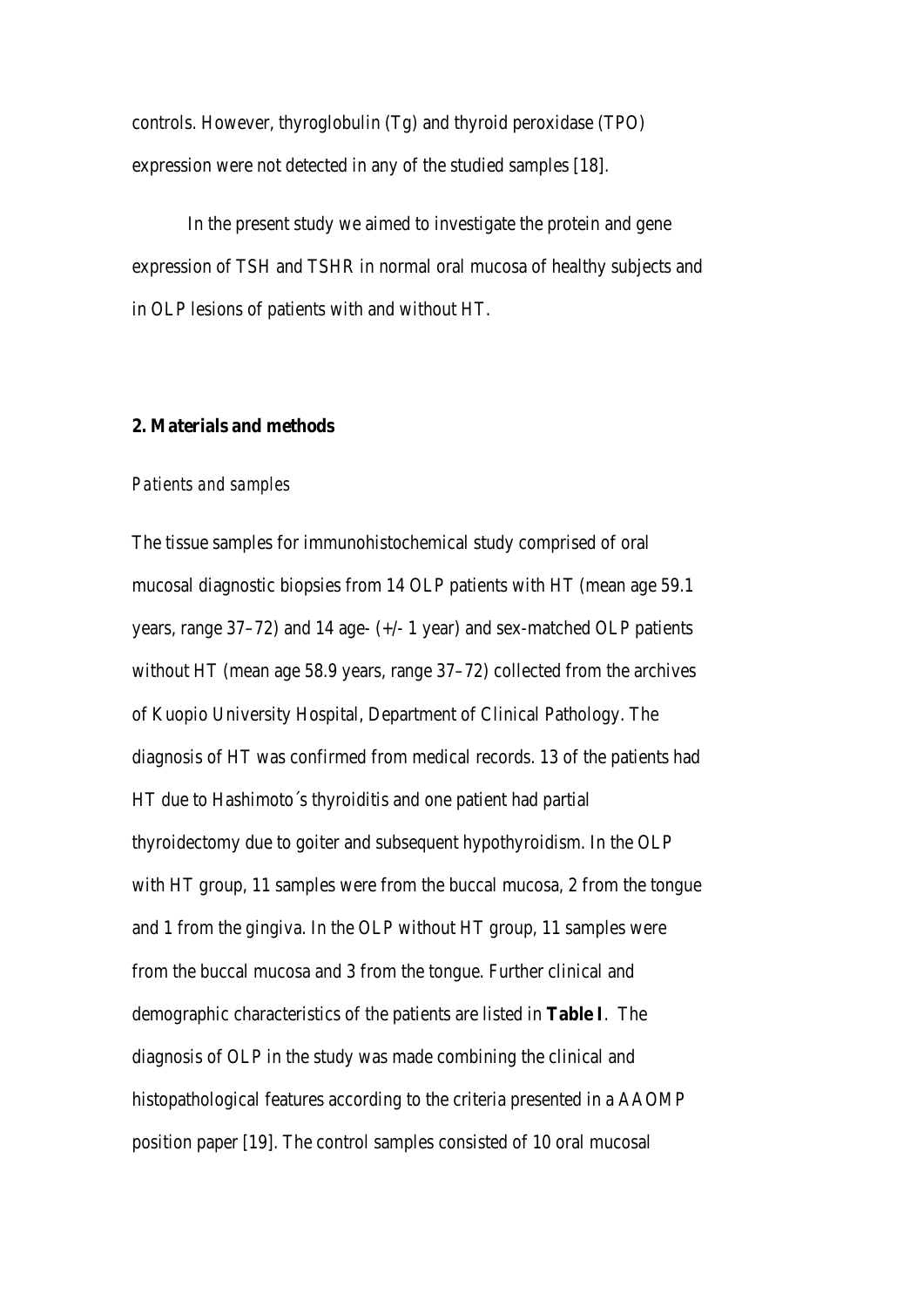controls. However, thyroglobulin (Tg) and thyroid peroxidase (TPO) expression were not detected in any of the studied samples [18].

In the present study we aimed to investigate the protein and gene expression of TSH and TSHR in normal oral mucosa of healthy subjects and in OLP lesions of patients with and without HT.

#### **2. Materials and methods**

#### *Patients and samples*

The tissue samples for immunohistochemical study comprised of oral mucosal diagnostic biopsies from 14 OLP patients with HT (mean age 59.1 years, range 37–72) and 14 age- (+/- 1 year) and sex-matched OLP patients without HT (mean age 58.9 years, range 37–72) collected from the archives of Kuopio University Hospital, Department of Clinical Pathology. The diagnosis of HT was confirmed from medical records. 13 of the patients had HT due to Hashimoto´s thyroiditis and one patient had partial thyroidectomy due to goiter and subsequent hypothyroidism. In the OLP with HT group, 11 samples were from the buccal mucosa, 2 from the tongue and 1 from the gingiva. In the OLP without HT group, 11 samples were from the buccal mucosa and 3 from the tongue. Further clinical and demographic characteristics of the patients are listed in **Table I**. The diagnosis of OLP in the study was made combining the clinical and histopathological features according to the criteria presented in a AAOMP position paper [19]. The control samples consisted of 10 oral mucosal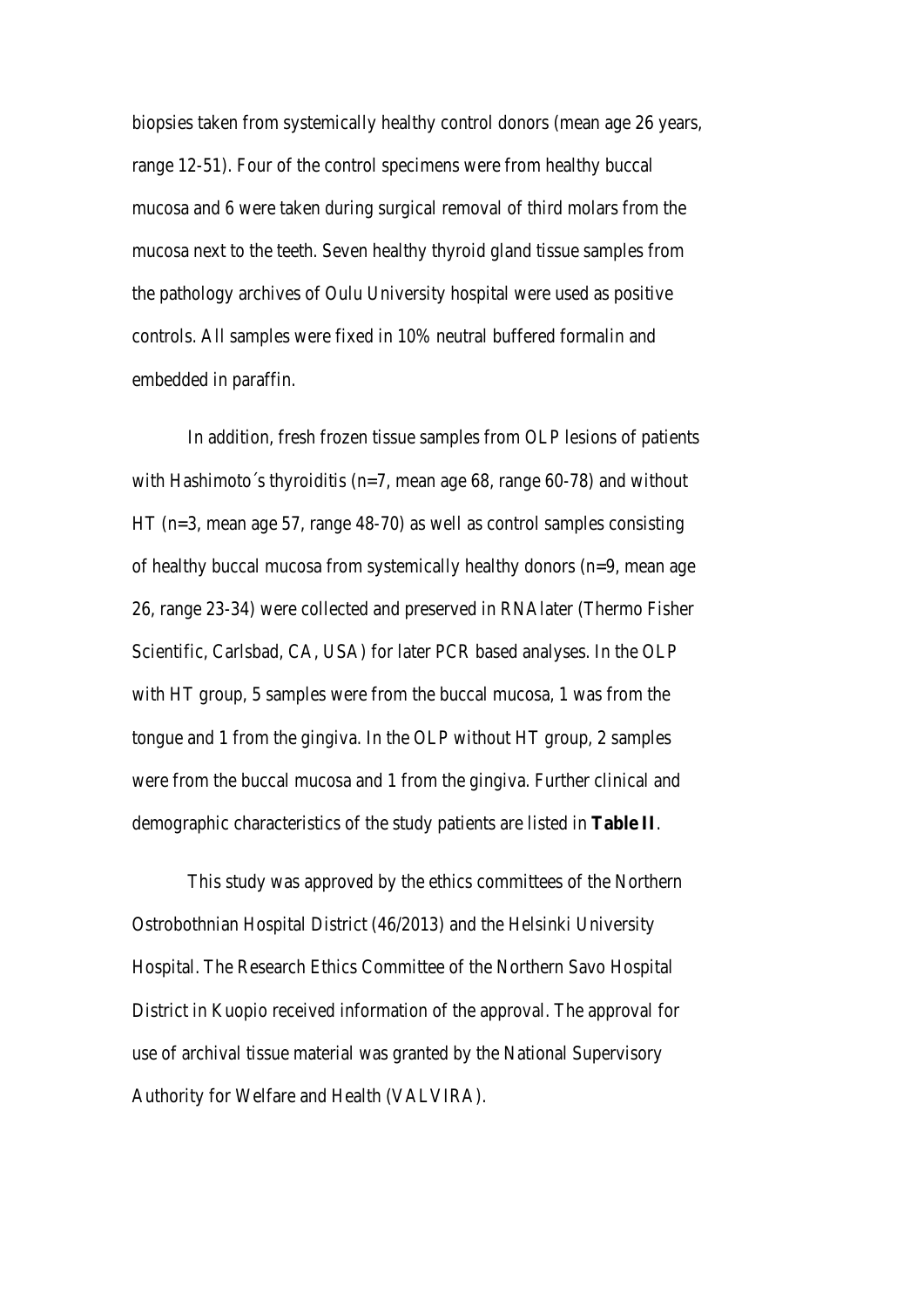biopsies taken from systemically healthy control donors (mean age 26 years, range 12-51). Four of the control specimens were from healthy buccal mucosa and 6 were taken during surgical removal of third molars from the mucosa next to the teeth. Seven healthy thyroid gland tissue samples from the pathology archives of Oulu University hospital were used as positive controls. All samples were fixed in 10% neutral buffered formalin and embedded in paraffin.

In addition, fresh frozen tissue samples from OLP lesions of patients with Hashimoto's thyroiditis ( $n=7$ , mean age 68, range 60-78) and without HT (n=3, mean age 57, range 48-70) as well as control samples consisting of healthy buccal mucosa from systemically healthy donors (n=9, mean age 26, range 23-34) were collected and preserved in RNAlater (Thermo Fisher Scientific, Carlsbad, CA, USA) for later PCR based analyses. In the OLP with HT group, 5 samples were from the buccal mucosa, 1 was from the tongue and 1 from the gingiva. In the OLP without HT group, 2 samples were from the buccal mucosa and 1 from the gingiva. Further clinical and demographic characteristics of the study patients are listed in **Table II**.

This study was approved by the ethics committees of the Northern Ostrobothnian Hospital District (46/2013) and the Helsinki University Hospital. The Research Ethics Committee of the Northern Savo Hospital District in Kuopio received information of the approval. The approval for use of archival tissue material was granted by the National Supervisory Authority for Welfare and Health (VALVIRA).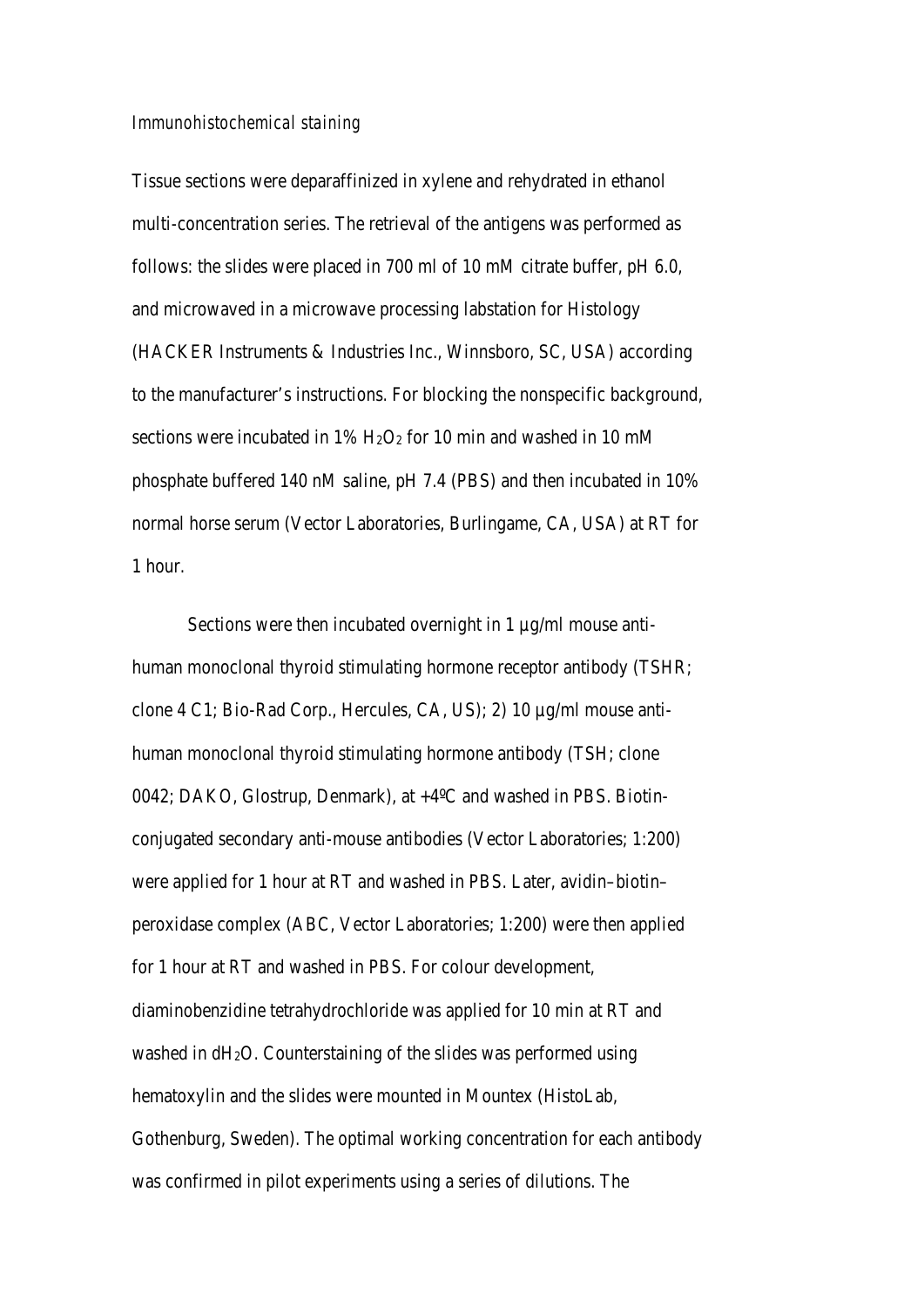#### *Immunohistochemical staining*

Tissue sections were deparaffinized in xylene and rehydrated in ethanol multi-concentration series. The retrieval of the antigens was performed as follows: the slides were placed in 700 ml of 10 mM citrate buffer, pH 6.0, and microwaved in a microwave processing labstation for Histology (HACKER Instruments & Industries Inc., Winnsboro, SC, USA) according to the manufacturer's instructions. For blocking the nonspecific background, sections were incubated in  $1\%$  H<sub>2</sub>O<sub>2</sub> for 10 min and washed in 10 mM phosphate buffered 140 nM saline, pH 7.4 (PBS) and then incubated in 10% normal horse serum (Vector Laboratories, Burlingame, CA, USA) at RT for 1 hour.

Sections were then incubated overnight in 1  $\mu$ g/ml mouse antihuman monoclonal thyroid stimulating hormone receptor antibody (TSHR; clone 4 C1; Bio-Rad Corp., Hercules, CA, US); 2) 10 µg/ml mouse antihuman monoclonal thyroid stimulating hormone antibody (TSH; clone 0042; DAKO, Glostrup, Denmark), at +4ºC and washed in PBS. Biotinconjugated secondary anti-mouse antibodies (Vector Laboratories; 1:200) were applied for 1 hour at RT and washed in PBS. Later, avidin–biotin– peroxidase complex (ABC, Vector Laboratories; 1:200) were then applied for 1 hour at RT and washed in PBS. For colour development, diaminobenzidine tetrahydrochloride was applied for 10 min at RT and washed in dH2O. Counterstaining of the slides was performed using hematoxylin and the slides were mounted in Mountex (HistoLab, Gothenburg, Sweden). The optimal working concentration for each antibody was confirmed in pilot experiments using a series of dilutions. The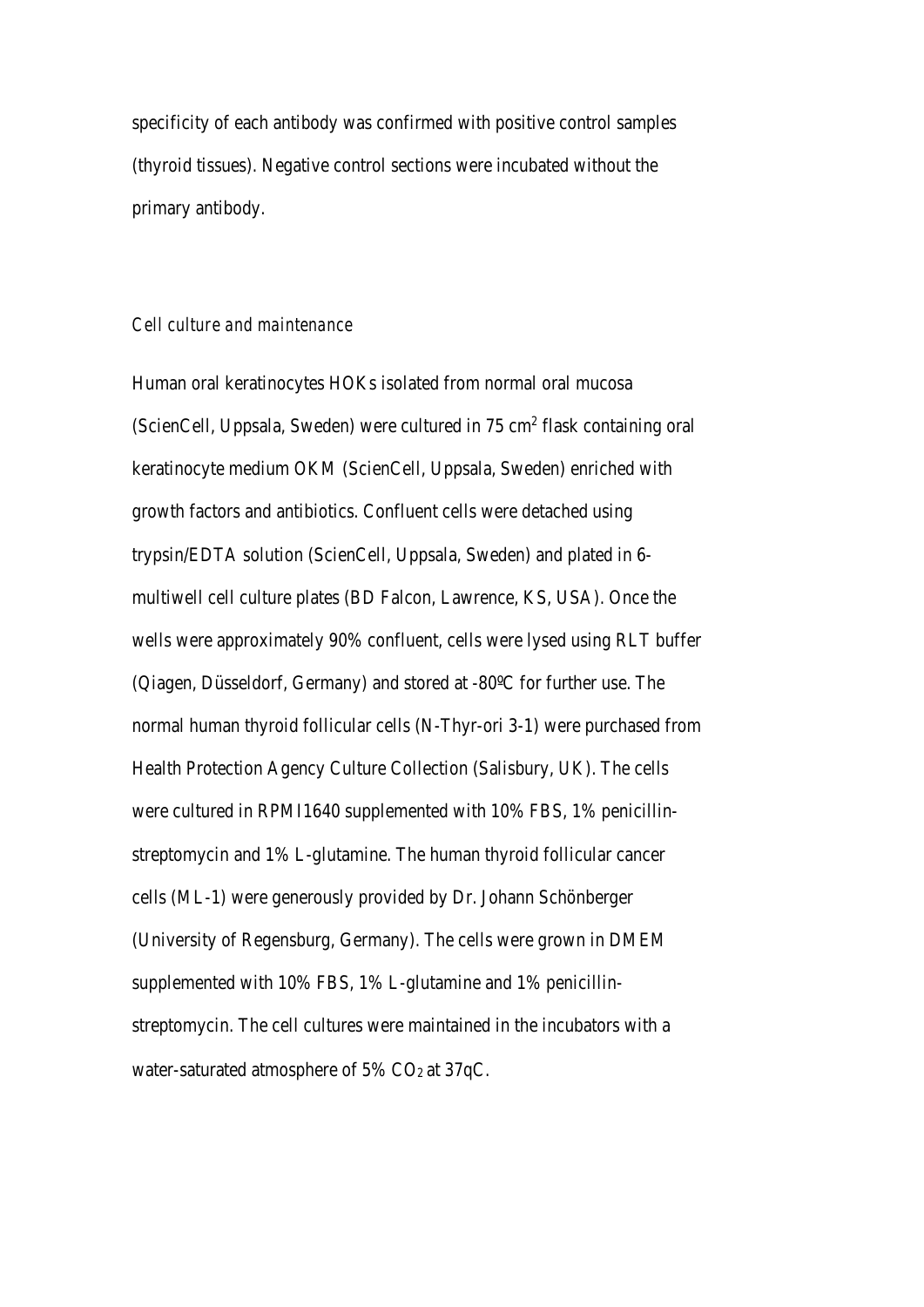specificity of each antibody was confirmed with positive control samples (thyroid tissues). Negative control sections were incubated without the primary antibody.

#### *Cell culture and maintenance*

Human oral keratinocytes HOKs isolated from normal oral mucosa (ScienCell, Uppsala, Sweden) were cultured in  $75 \text{ cm}^2$  flask containing oral keratinocyte medium OKM (ScienCell, Uppsala, Sweden) enriched with growth factors and antibiotics. Confluent cells were detached using trypsin/EDTA solution (ScienCell, Uppsala, Sweden) and plated in 6 multiwell cell culture plates (BD Falcon, Lawrence, KS, USA). Once the wells were approximately 90% confluent, cells were lysed using RLT buffer (Qiagen, Düsseldorf, Germany) and stored at -80ºC for further use. The normal human thyroid follicular cells (N-Thyr-ori 3-1) were purchased from Health Protection Agency Culture Collection (Salisbury, UK). The cells were cultured in RPMI1640 supplemented with 10% FBS, 1% penicillinstreptomycin and 1% L-glutamine. The human thyroid follicular cancer cells (ML-1) were generously provided by Dr. Johann Schönberger (University of Regensburg, Germany). The cells were grown in DMEM supplemented with 10% FBS, 1% L-glutamine and 1% penicillinstreptomycin. The cell cultures were maintained in the incubators with a water-saturated atmosphere of  $5\%$  CO<sub>2</sub> at  $37<sub>g</sub>$  C.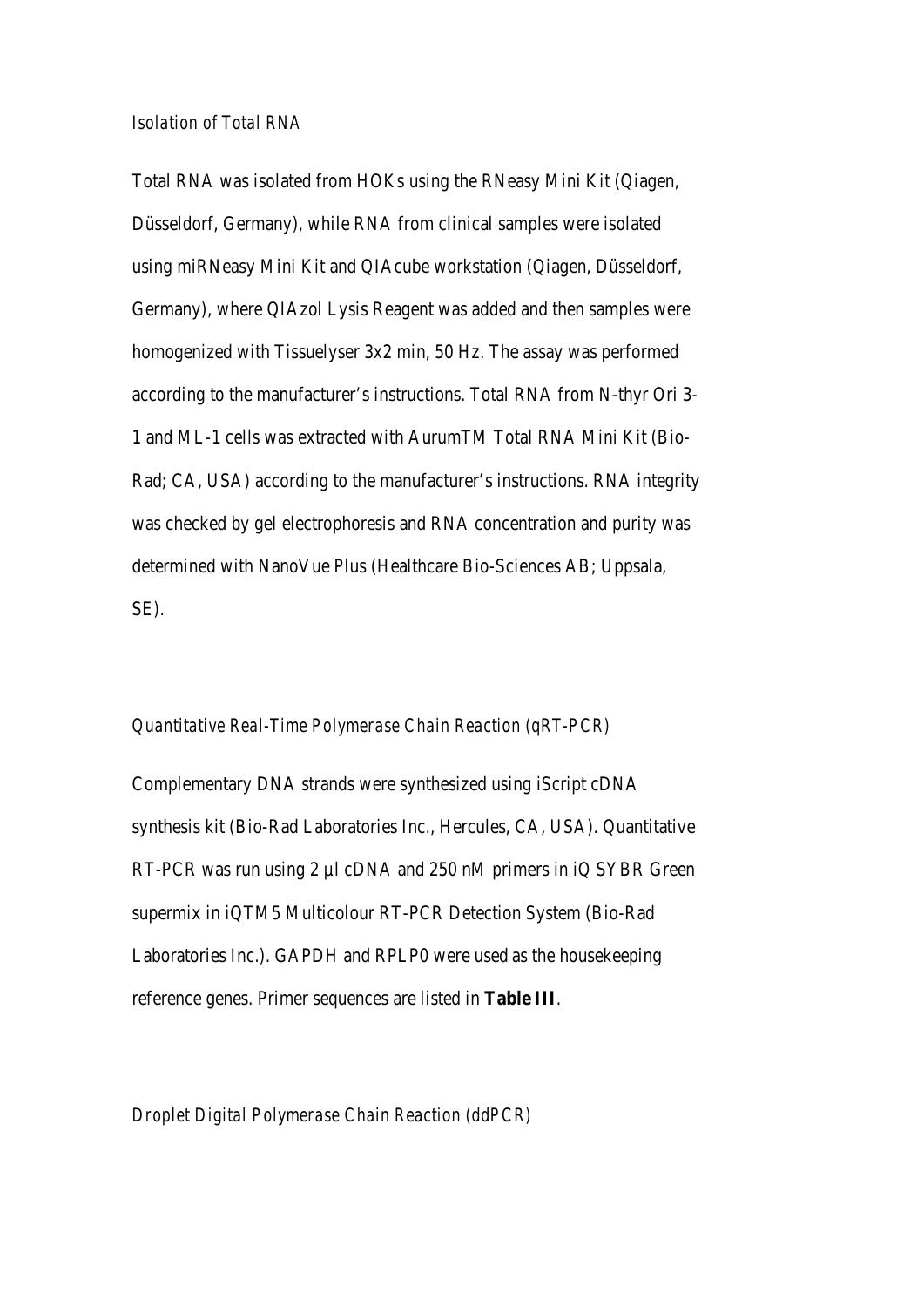#### *Isolation of Total RNA*

Total RNA was isolated from HOKs using the RNeasy Mini Kit (Qiagen, Düsseldorf, Germany), while RNA from clinical samples were isolated using miRNeasy Mini Kit and QIAcube workstation (Qiagen, Düsseldorf, Germany), where QIAzol Lysis Reagent was added and then samples were homogenized with Tissuelyser 3x2 min, 50 Hz. The assay was performed according to the manufacturer's instructions. Total RNA from N-thyr Ori 3- 1 and ML-1 cells was extracted with AurumTM Total RNA Mini Kit (Bio-Rad; CA, USA) according to the manufacturer's instructions. RNA integrity was checked by gel electrophoresis and RNA concentration and purity was determined with NanoVue Plus (Healthcare Bio-Sciences AB; Uppsala, SE).

#### *Quantitative Real-Time Polymerase Chain Reaction (qRT-PCR)*

Complementary DNA strands were synthesized using iScript cDNA synthesis kit (Bio-Rad Laboratories Inc., Hercules, CA, USA). Quantitative RT-PCR was run using 2 µl cDNA and 250 nM primers in iQ SYBR Green supermix in iQTM5 Multicolour RT-PCR Detection System (Bio-Rad Laboratories Inc.). GAPDH and RPLP0 were used as the housekeeping reference genes. Primer sequences are listed in **Table III**.

*Droplet Digital Polymerase Chain Reaction (ddPCR)*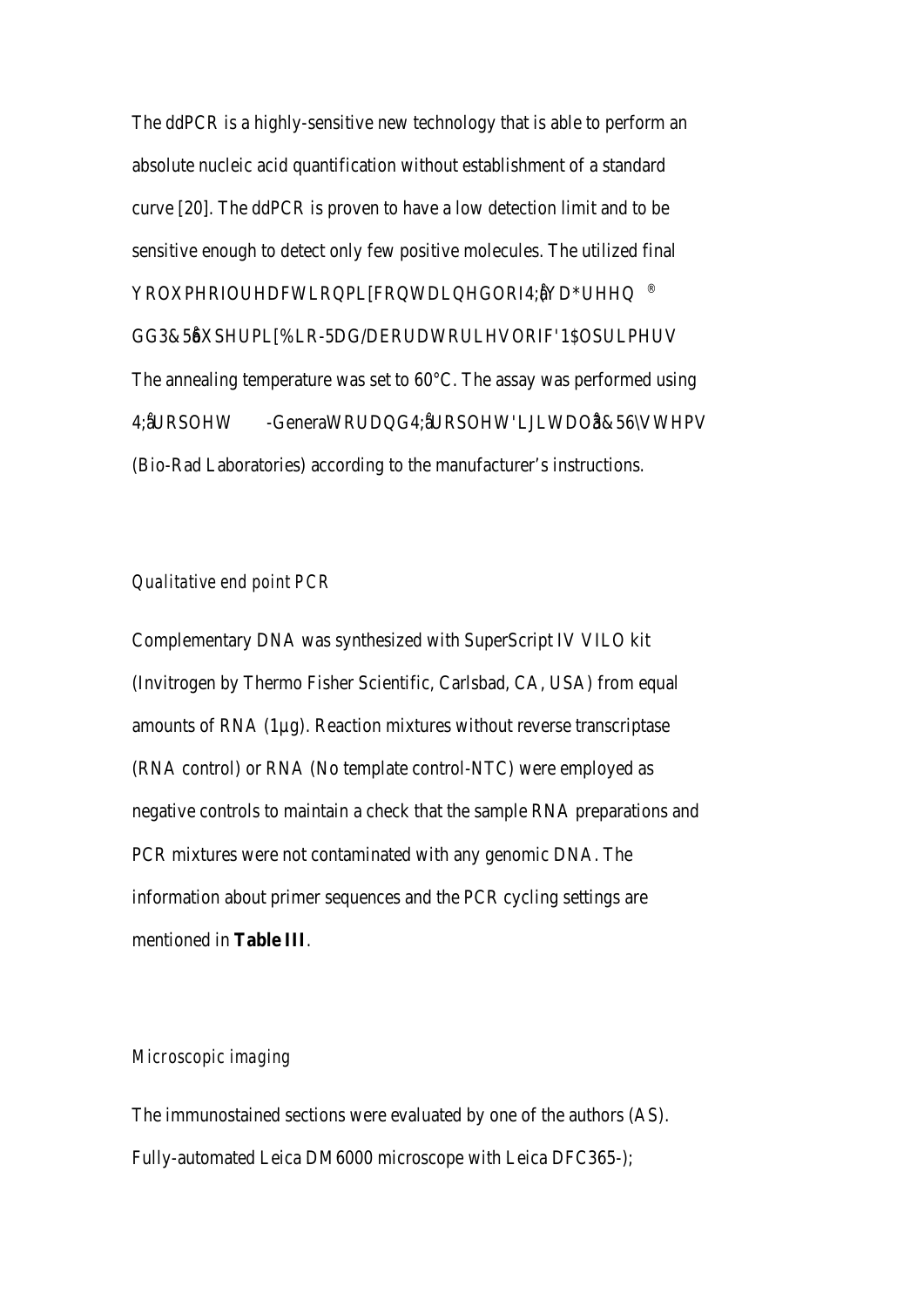The ddPCR is a highly-sensitive new technology that is able to perform an absolute nucleic acid quantification without establishment of a standard curve [20]. The ddPCR is proven to have a low detection limit and to be sensitive enough to detect only few positive molecules. The utilized final J C ` i a Y ` c Z ` & \$ ` ` ` f Y U Wh ] c b ` a ] l ® Wc b h U ] b Y X ` %\$ ` X X D 7 F | G i d YFfUaX] l@UfV & [f dJ-h c f ] Y q Ł ž & ` c Z ' W 8 B 5 ž The annealing temperature was set to 60°C. The assay was performed using  $EL &$ \$\$¦ 8G Eneralh`cYfh UbX EL&\$\$¦ 8fcd`Yh 8][]hU`¦ (Bio-Rad Laboratories) according to the manufacturer's instructions.

#### *Qualitative end point PCR*

Complementary DNA was synthesized with SuperScript IV VILO kit (Invitrogen by Thermo Fisher Scientific, Carlsbad, CA, USA) from equal amounts of RNA (1µg). Reaction mixtures without reverse transcriptase (RNA control) or RNA (No template control-NTC) were employed as negative controls to maintain a check that the sample RNA preparations and PCR mixtures were not contaminated with any genomic DNA. The information about primer sequences and the PCR cycling settings are mentioned in **Table III**.

#### *Microscopic imaging*

The immunostained sections were evaluated by one of the authors (AS). Fully-automated Leica DM6000 microscope with Leica DFC365-: L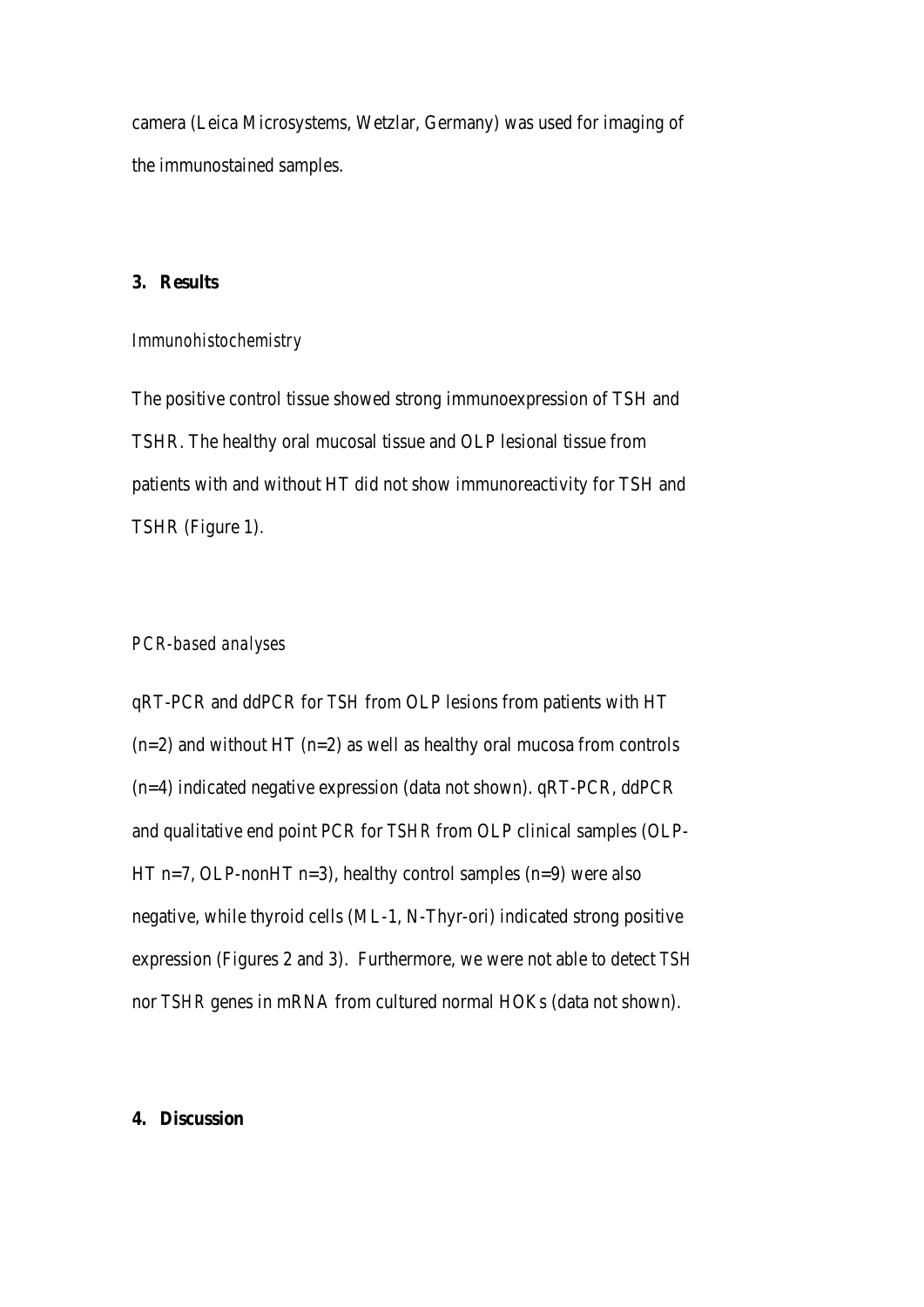camera (Leica Microsystems, Wetzlar, Germany) was used for imaging of the immunostained samples.

#### **3. Results**

#### *Immunohistochemistry*

The positive control tissue showed strong immunoexpression of TSH and TSHR. The healthy oral mucosal tissue and OLP lesional tissue from patients with and without HT did not show immunoreactivity for TSH and TSHR (Figure 1).

#### *PCR-based analyses*

qRT-PCR and ddPCR for *TSH* from OLP lesions from patients with HT  $(n=2)$  and without HT  $(n=2)$  as well as healthy oral mucosa from controls (n=4) indicated negative expression (data not shown). qRT-PCR, ddPCR and qualitative end point PCR for *TSHR* from OLP clinical samples (OLP-HT n=7, OLP-nonHT n=3), healthy control samples  $(n=9)$  were also negative, while thyroid cells (ML-1, N-Thyr-ori) indicated strong positive expression (Figures 2 and 3). Furthermore, we were not able to detect *TSH* nor *TSHR* genes in mRNA from cultured normal HOKs (data not shown).

#### **4. Discussion**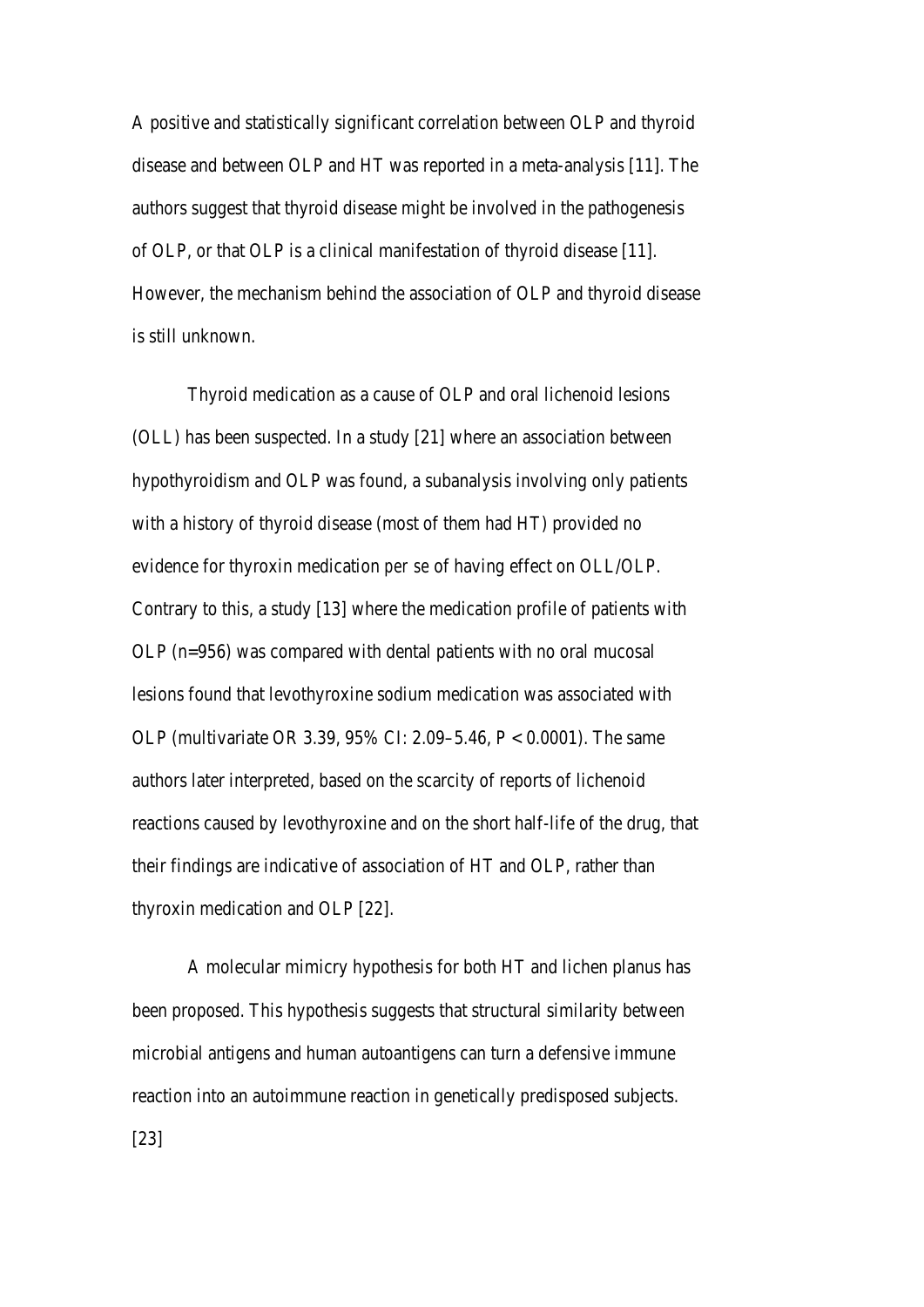A positive and statistically significant correlation between OLP and thyroid disease and between OLP and HT was reported in a meta-analysis [11]. The authors suggest that thyroid disease might be involved in the pathogenesis of OLP, or that OLP is a clinical manifestation of thyroid disease [11]. However, the mechanism behind the association of OLP and thyroid disease is still unknown.

Thyroid medication as a cause of OLP and oral lichenoid lesions (OLL) has been suspected. In a study [21] where an association between hypothyroidism and OLP was found, a subanalysis involving only patients with a history of thyroid disease (most of them had HT) provided no evidence for thyroxin medication *per se* of having effect on OLL/OLP. Contrary to this, a study [13] where the medication profile of patients with OLP (n=956) was compared with dental patients with no oral mucosal lesions found that levothyroxine sodium medication was associated with OLP (multivariate OR 3.39, 95% CI: 2.09–5.46, P < 0.0001). The same authors later interpreted, based on the scarcity of reports of lichenoid reactions caused by levothyroxine and on the short half-life of the drug, that their findings are indicative of association of HT and OLP, rather than thyroxin medication and OLP [22].

A molecular mimicry hypothesis for both HT and lichen planus has been proposed. This hypothesis suggests that structural similarity between microbial antigens and human autoantigens can turn a defensive immune reaction into an autoimmune reaction in genetically predisposed subjects.

[23]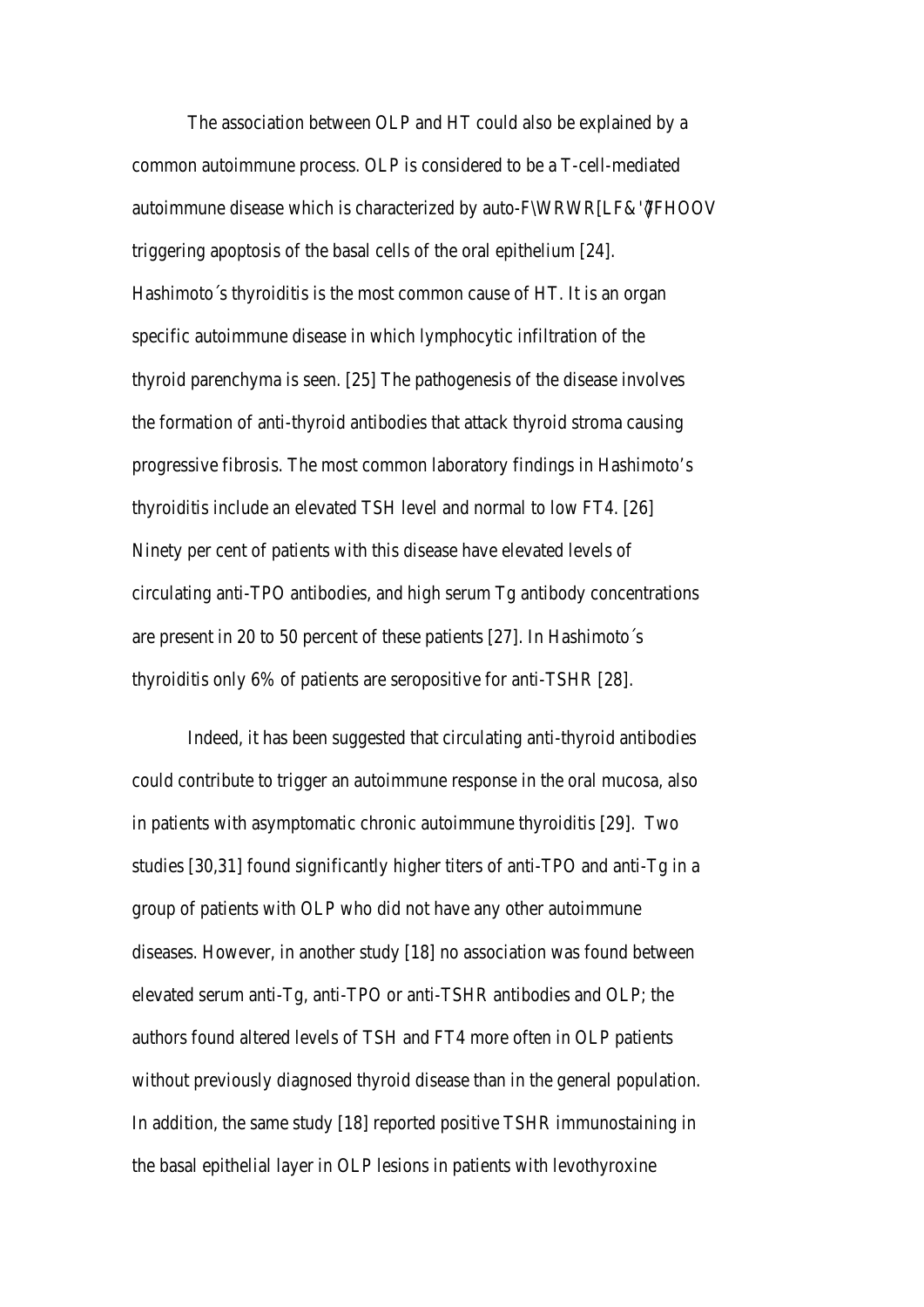The association between OLP and HT could also be explained by a common autoimmune process. OLP is considered to be a T-cell-mediated autoimmune disease which is characterized by auto-Wmh c h c l l W  $\rightarrow$  7 8.  $\check{Z}$  H  $\check{W}$ triggering apoptosis of the basal cells of the oral epithelium [24]. Hashimoto´s thyroiditis is the most common cause of HT. It is an organ specific autoimmune disease in which lymphocytic infiltration of the thyroid parenchyma is seen. [25] The pathogenesis of the disease involves the formation of anti-thyroid antibodies that attack thyroid stroma causing progressive fibrosis. The most common laboratory findings in Hashimoto's thyroiditis include an elevated TSH level and normal to low FT4. [26] Ninety per cent of patients with this disease have elevated levels of circulating anti-TPO antibodies, and high serum Tg antibody concentrations are present in 20 to 50 percent of these patients [27]. In Hashimoto´s thyroiditis only 6% of patients are seropositive for anti-TSHR [28].

Indeed, it has been suggested that circulating anti-thyroid antibodies could contribute to trigger an autoimmune response in the oral mucosa, also in patients with asymptomatic chronic autoimmune thyroiditis [29]. Two studies [30,31] found significantly higher titers of anti-TPO and anti-Tg in a group of patients with OLP who did not have any other autoimmune diseases. However, in another study [18] no association was found between elevated serum anti-Tg, anti-TPO or anti-TSHR antibodies and OLP; the authors found altered levels of TSH and FT4 more often in OLP patients without previously diagnosed thyroid disease than in the general population. In addition, the same study [18] reported positive TSHR immunostaining in the basal epithelial layer in OLP lesions in patients with levothyroxine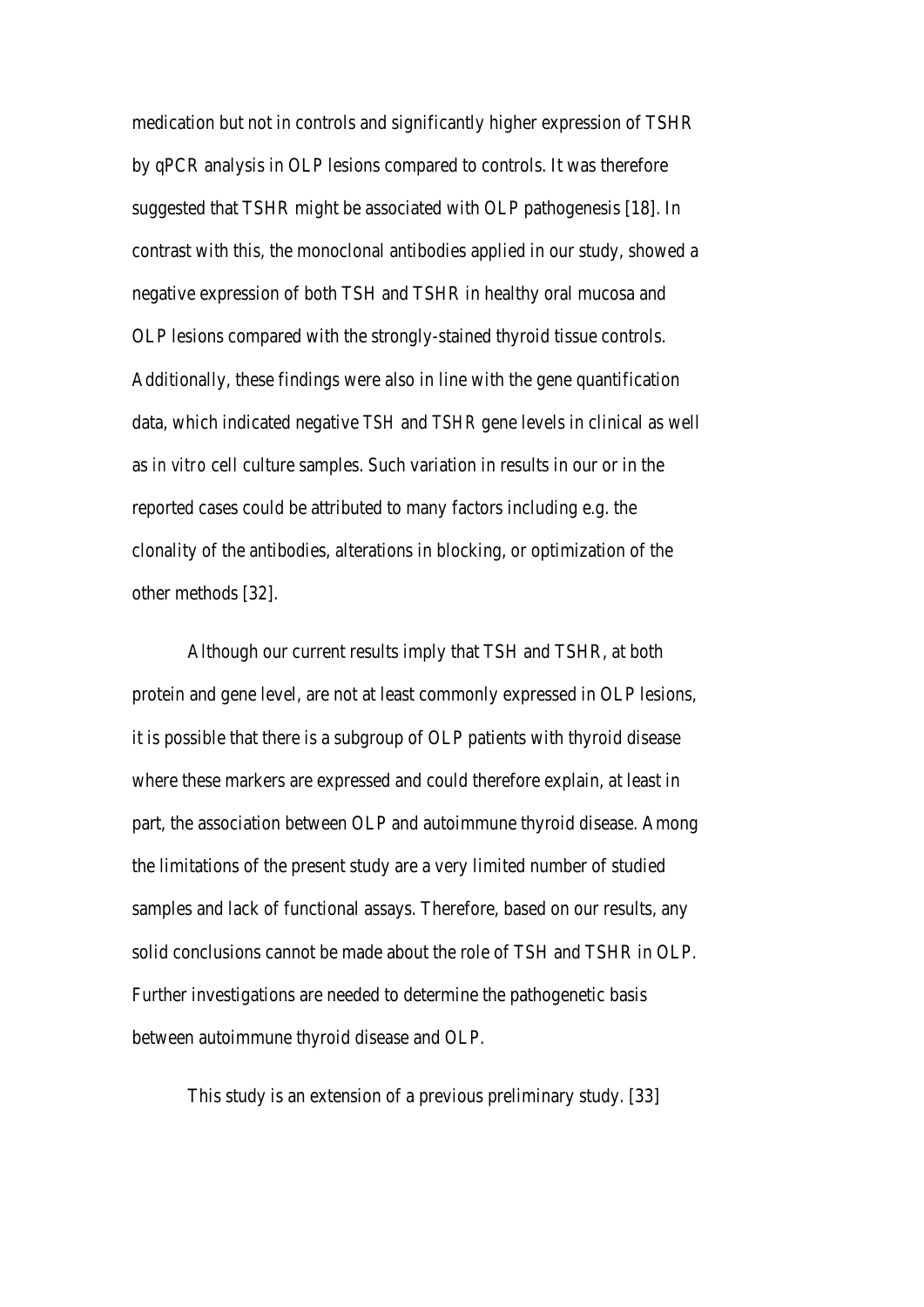medication but not in controls and significantly higher expression of TSHR by qPCR analysis in OLP lesions compared to controls. It was therefore suggested that TSHR might be associated with OLP pathogenesis [18]. In contrast with this, the monoclonal antibodies applied in our study, showed a negative expression of both TSH and TSHR in healthy oral mucosa and OLP lesions compared with the strongly-stained thyroid tissue controls. Additionally, these findings were also in line with the gene quantification data, which indicated negative *TSH* and *TSHR* gene levels in clinical as well as *in vitro* cell culture samples. Such variation in results in our or in the reported cases could be attributed to many factors including e.g. the clonality of the antibodies, alterations in blocking, or optimization of the other methods [32].

Although our current results imply that TSH and TSHR, at both protein and gene level, are not at least commonly expressed in OLP lesions, it is possible that there is a subgroup of OLP patients with thyroid disease where these markers are expressed and could therefore explain, at least in part, the association between OLP and autoimmune thyroid disease. Among the limitations of the present study are a very limited number of studied samples and lack of functional assays. Therefore, based on our results, any solid conclusions cannot be made about the role of TSH and TSHR in OLP. Further investigations are needed to determine the pathogenetic basis between autoimmune thyroid disease and OLP.

This study is an extension of a previous preliminary study. [33]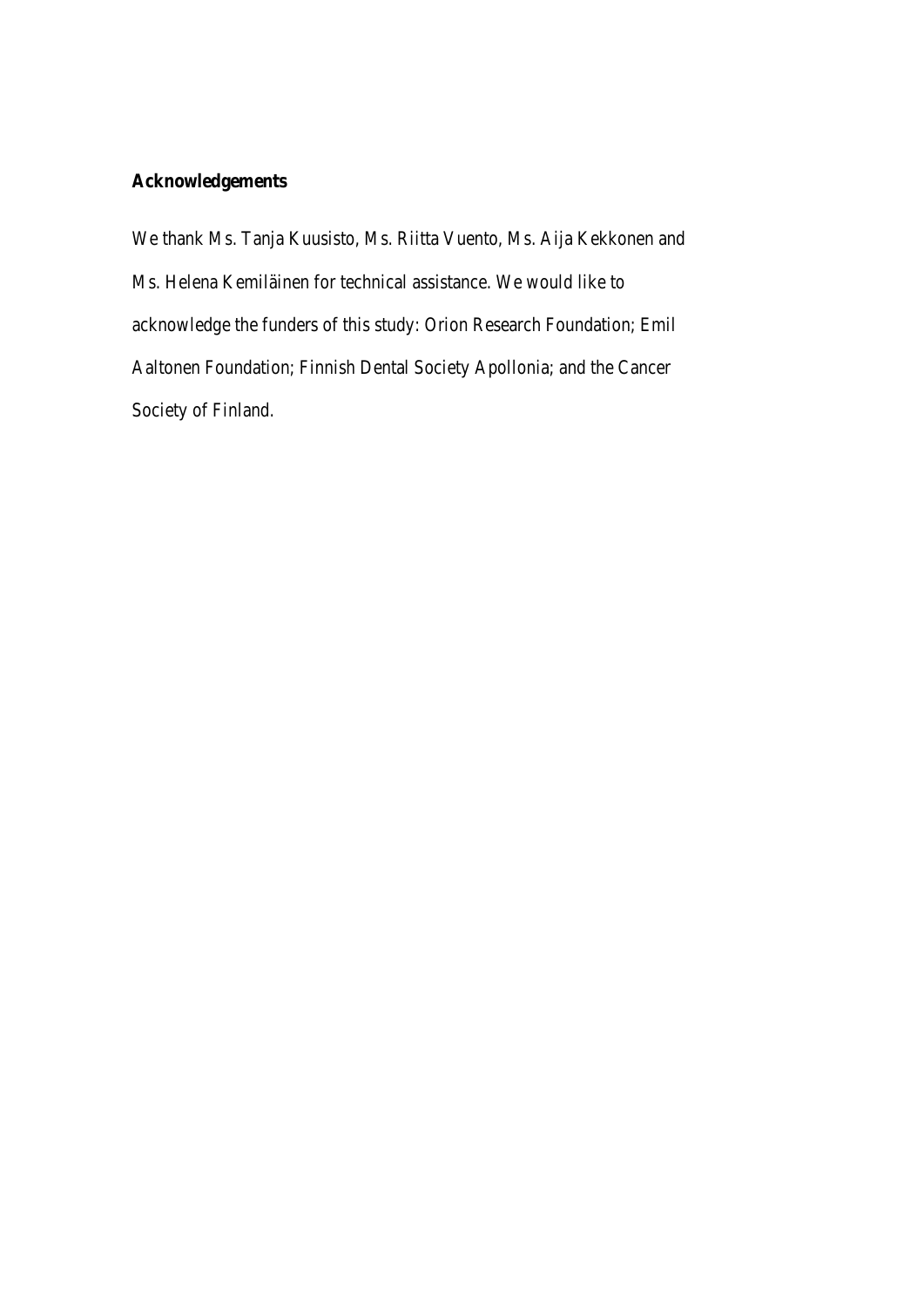#### **Acknowledgements**

We thank Ms. Tanja Kuusisto, Ms. Riitta Vuento, Ms. Aija Kekkonen and Ms. Helena Kemiläinen for technical assistance. We would like to acknowledge the funders of this study: Orion Research Foundation; Emil Aaltonen Foundation; Finnish Dental Society Apollonia; and the Cancer Society of Finland.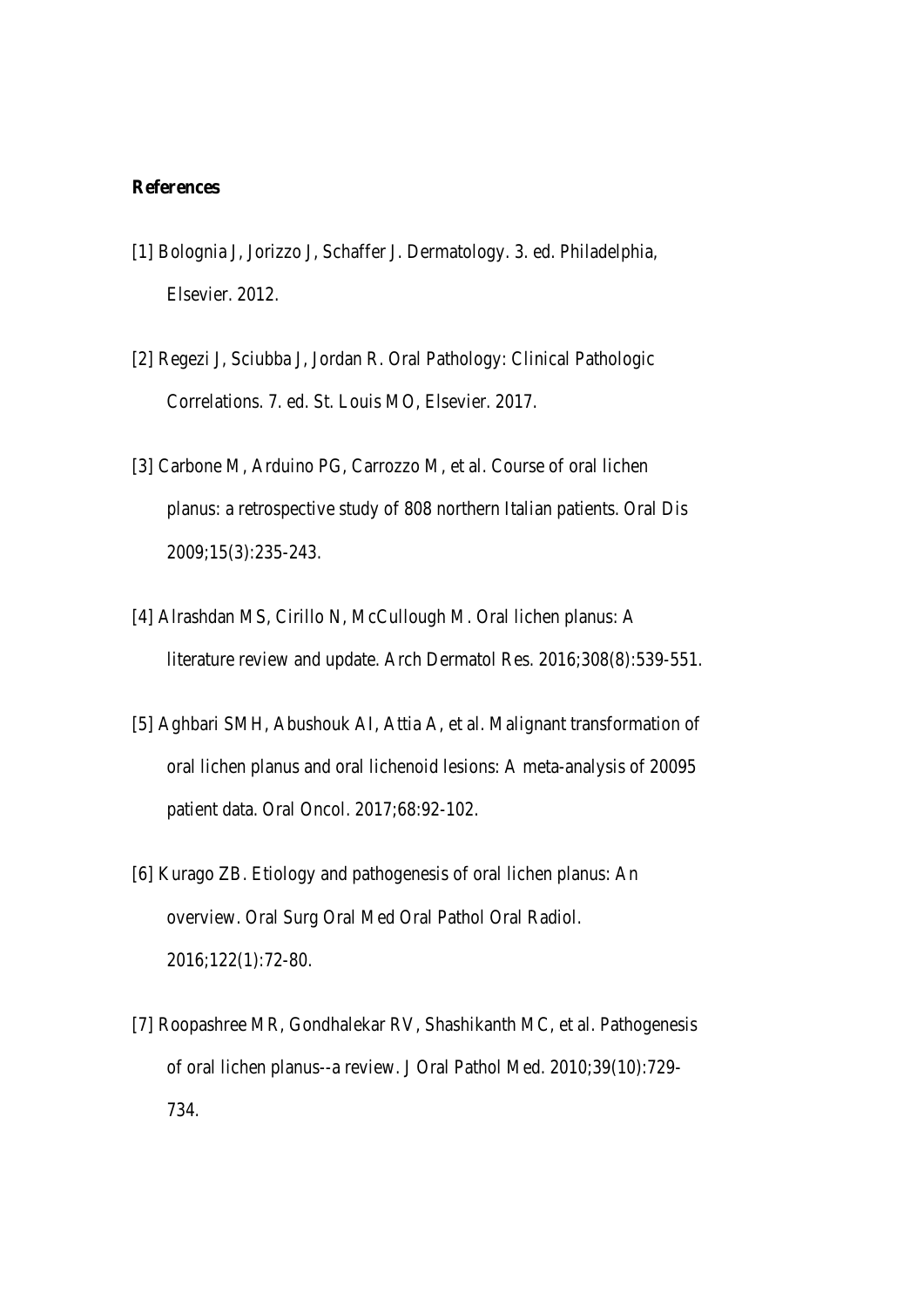#### **References**

- [1] Bolognia J, Jorizzo J, Schaffer J. Dermatology. 3. ed. Philadelphia, Elsevier. 2012.
- [2] Regezi J, Sciubba J, Jordan R. Oral Pathology: Clinical Pathologic Correlations. 7. ed. St. Louis MO, Elsevier. 2017.
- [3] Carbone M, Arduino PG, Carrozzo M, et al. Course of oral lichen planus: a retrospective study of 808 northern Italian patients. Oral Dis 2009;15(3):235-243.
- [4] Alrashdan MS, Cirillo N, McCullough M. Oral lichen planus: A literature review and update. Arch Dermatol Res. 2016;308(8):539-551.
- [5] Aghbari SMH, Abushouk AI, Attia A, et al. Malignant transformation of oral lichen planus and oral lichenoid lesions: A meta-analysis of 20095 patient data. Oral Oncol. 2017;68:92-102.
- [6] Kurago ZB. Etiology and pathogenesis of oral lichen planus: An overview. Oral Surg Oral Med Oral Pathol Oral Radiol. 2016;122(1):72-80.
- [7] Roopashree MR, Gondhalekar RV, Shashikanth MC, et al. Pathogenesis of oral lichen planus--a review. J Oral Pathol Med. 2010;39(10):729- 734.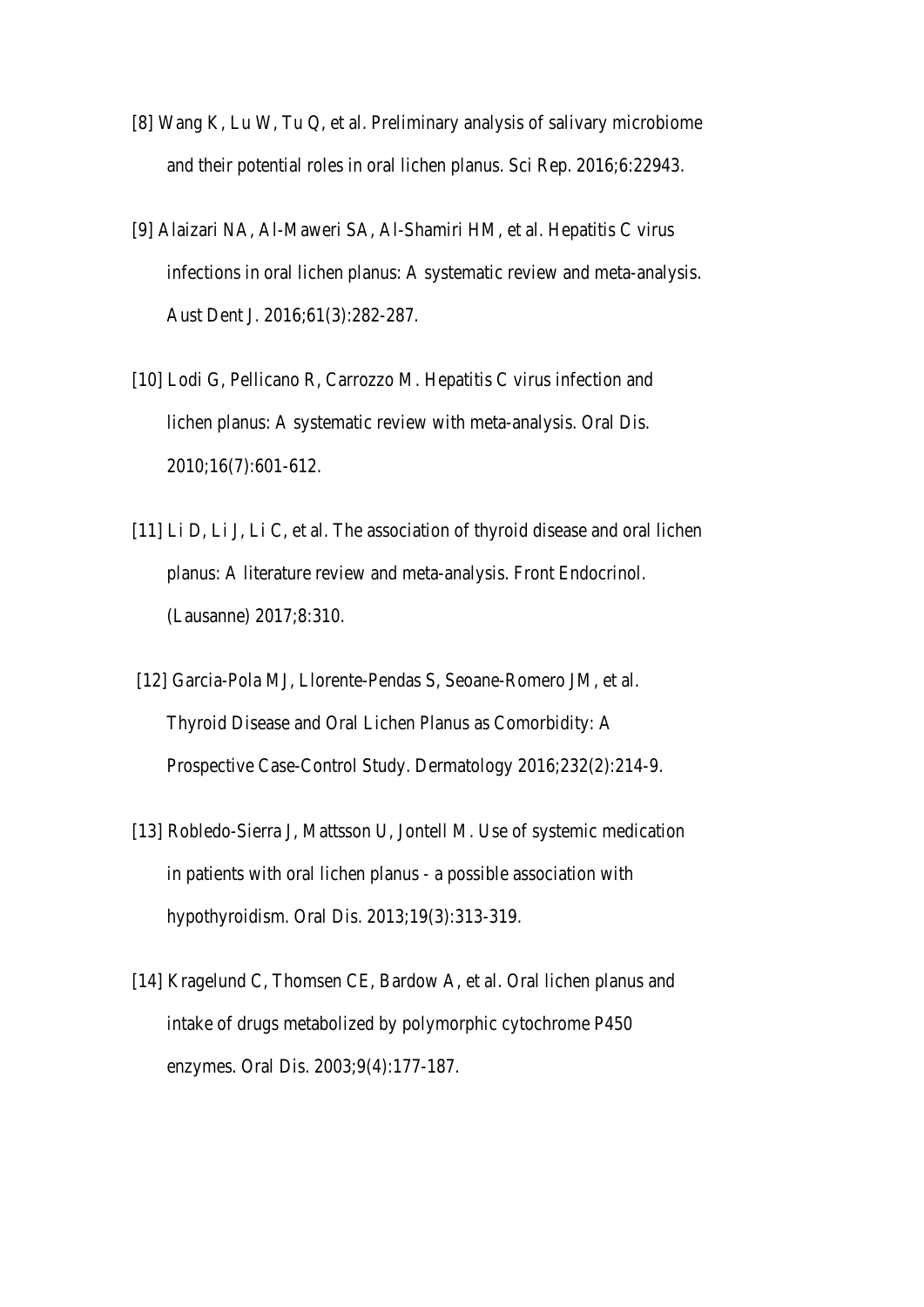- [8] Wang K, Lu W, Tu Q, et al. Preliminary analysis of salivary microbiome and their potential roles in oral lichen planus. Sci Rep. 2016;6:22943.
- [9] Alaizari NA, Al-Maweri SA, Al-Shamiri HM, et al. Hepatitis C virus infections in oral lichen planus: A systematic review and meta-analysis. Aust Dent J. 2016;61(3):282-287.
- [10] Lodi G, Pellicano R, Carrozzo M. Hepatitis C virus infection and lichen planus: A systematic review with meta-analysis. Oral Dis. 2010;16(7):601-612.
- [11] Li D, Li J, Li C, et al. The association of thyroid disease and oral lichen planus: A literature review and meta-analysis. Front Endocrinol. (Lausanne) 2017;8:310.
- [12] Garcia-Pola MJ, Llorente-Pendas S, Seoane-Romero JM, et al. Thyroid Disease and Oral Lichen Planus as Comorbidity: A Prospective Case-Control Study. Dermatology 2016;232(2):214-9.
- [13] Robledo-Sierra J, Mattsson U, Jontell M. Use of systemic medication in patients with oral lichen planus - a possible association with hypothyroidism. Oral Dis. 2013;19(3):313-319.
- [14] Kragelund C, Thomsen CE, Bardow A, et al. Oral lichen planus and intake of drugs metabolized by polymorphic cytochrome P450 enzymes. Oral Dis. 2003;9(4):177-187.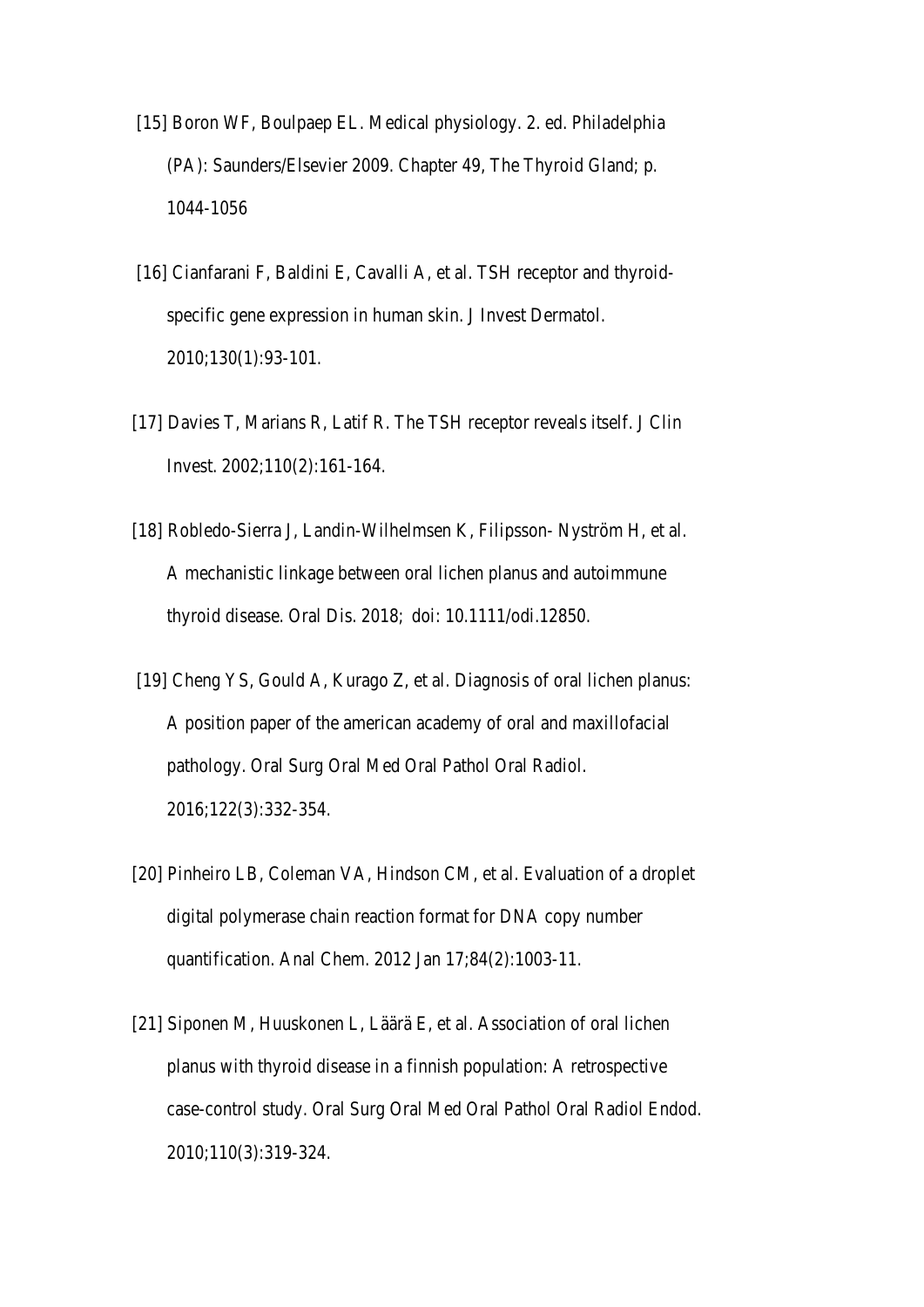- [15] Boron WF, Boulpaep EL. Medical physiology. 2. ed. Philadelphia (PA): Saunders/Elsevier 2009. Chapter 49, The Thyroid Gland; p. 1044-1056
- [16] Cianfarani F, Baldini E, Cavalli A, et al. TSH receptor and thyroidspecific gene expression in human skin. J Invest Dermatol. 2010;130(1):93-101.
- [17] Davies T, Marians R, Latif R. The TSH receptor reveals itself. J Clin Invest. 2002;110(2):161-164.
- [18] Robledo-Sierra J, Landin-Wilhelmsen K, Filipsson- Nyström H, et al. A mechanistic linkage between oral lichen planus and autoimmune thyroid disease. Oral Dis. 2018; doi: 10.1111/odi.12850.
- [19] Cheng YS, Gould A, Kurago Z, et al. Diagnosis of oral lichen planus: A position paper of the american academy of oral and maxillofacial pathology. Oral Surg Oral Med Oral Pathol Oral Radiol. 2016;122(3):332-354.
- [20] Pinheiro LB, Coleman VA, Hindson CM, et al. Evaluation of a droplet digital polymerase chain reaction format for DNA copy number quantification. Anal Chem. 2012 Jan 17;84(2):1003-11.
- [21] Siponen M, Huuskonen L, Läärä E, et al. Association of oral lichen planus with thyroid disease in a finnish population: A retrospective case-control study. Oral Surg Oral Med Oral Pathol Oral Radiol Endod. 2010;110(3):319-324.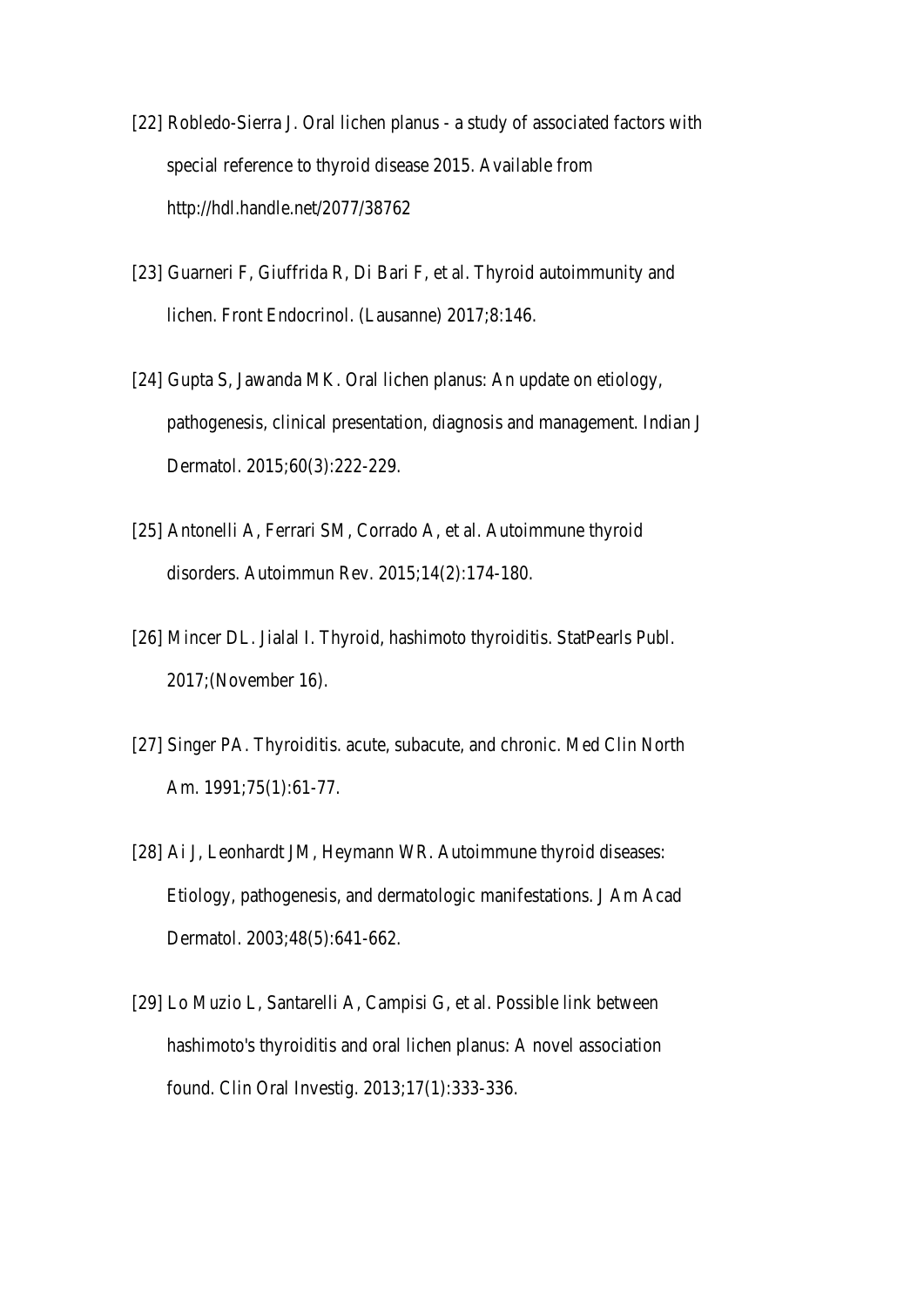- [22] Robledo-Sierra J. Oral lichen planus a study of associated factors with special reference to thyroid disease 2015. Available from http://hdl.handle.net/2077/38762
- [23] Guarneri F, Giuffrida R, Di Bari F, et al. Thyroid autoimmunity and lichen. Front Endocrinol. (Lausanne) 2017;8:146.
- [24] Gupta S, Jawanda MK. Oral lichen planus: An update on etiology, pathogenesis, clinical presentation, diagnosis and management. Indian J Dermatol. 2015;60(3):222-229.
- [25] Antonelli A, Ferrari SM, Corrado A, et al. Autoimmune thyroid disorders. Autoimmun Rev. 2015;14(2):174-180.
- [26] Mincer DL. Jialal I. Thyroid, hashimoto thyroiditis. StatPearls Publ. 2017;(November 16).
- [27] Singer PA. Thyroiditis. acute, subacute, and chronic. Med Clin North Am. 1991;75(1):61-77.
- [28] Ai J, Leonhardt JM, Heymann WR. Autoimmune thyroid diseases: Etiology, pathogenesis, and dermatologic manifestations. J Am Acad Dermatol. 2003;48(5):641-662.
- [29] Lo Muzio L, Santarelli A, Campisi G, et al. Possible link between hashimoto's thyroiditis and oral lichen planus: A novel association found. Clin Oral Investig. 2013;17(1):333-336.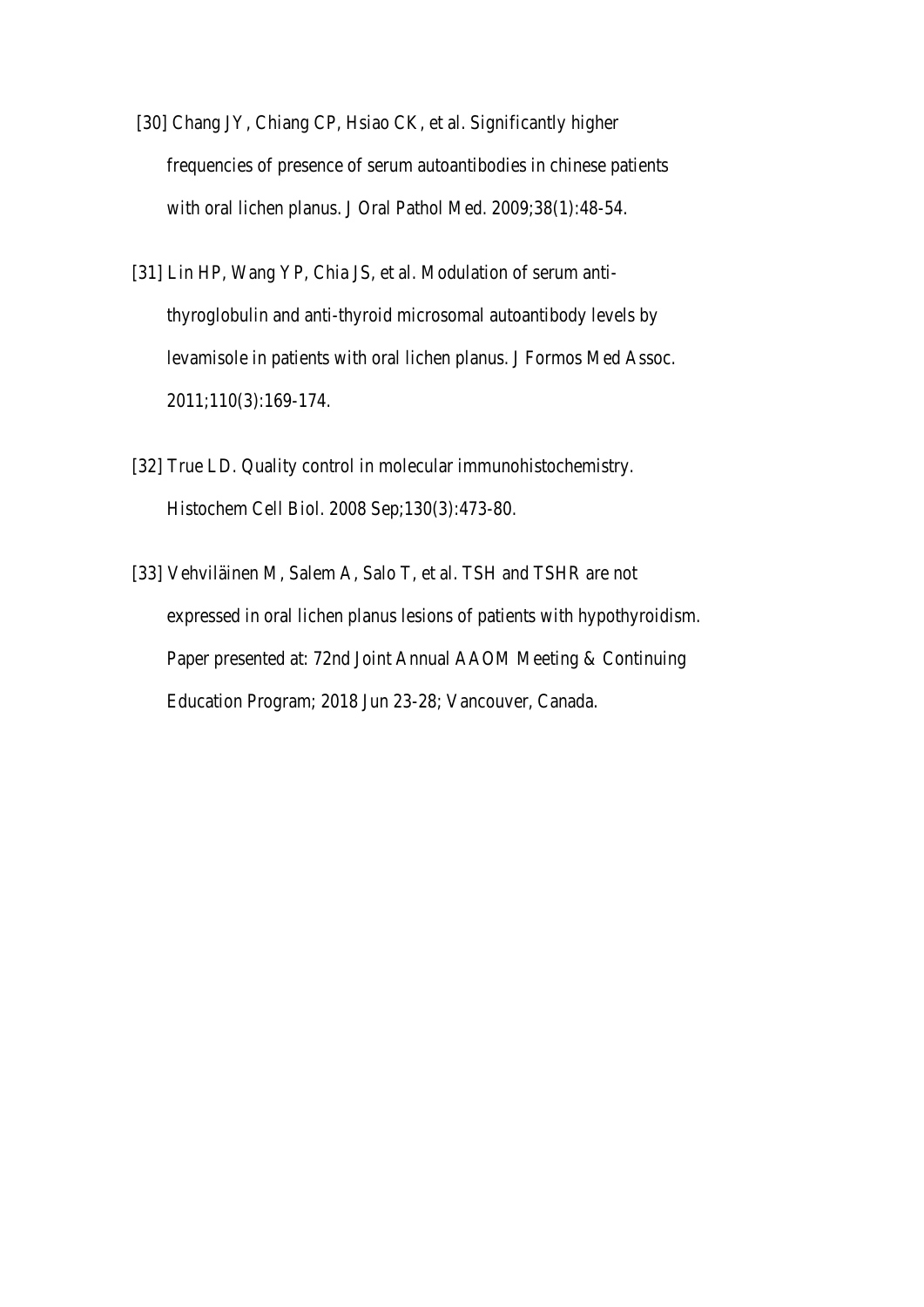- [30] Chang JY, Chiang CP, Hsiao CK, et al. Significantly higher frequencies of presence of serum autoantibodies in chinese patients with oral lichen planus. J Oral Pathol Med. 2009;38(1):48-54.
- [31] Lin HP, Wang YP, Chia JS, et al. Modulation of serum antithyroglobulin and anti-thyroid microsomal autoantibody levels by levamisole in patients with oral lichen planus. J Formos Med Assoc. 2011;110(3):169-174.
- [32] True LD. Quality control in molecular immunohistochemistry. Histochem Cell Biol. 2008 Sep;130(3):473-80.
- [33] Vehviläinen M, Salem A, Salo T, et al. TSH and TSHR are not expressed in oral lichen planus lesions of patients with hypothyroidism. Paper presented at: 72nd Joint Annual AAOM Meeting & Continuing Education Program; 2018 Jun 23-28; Vancouver, Canada.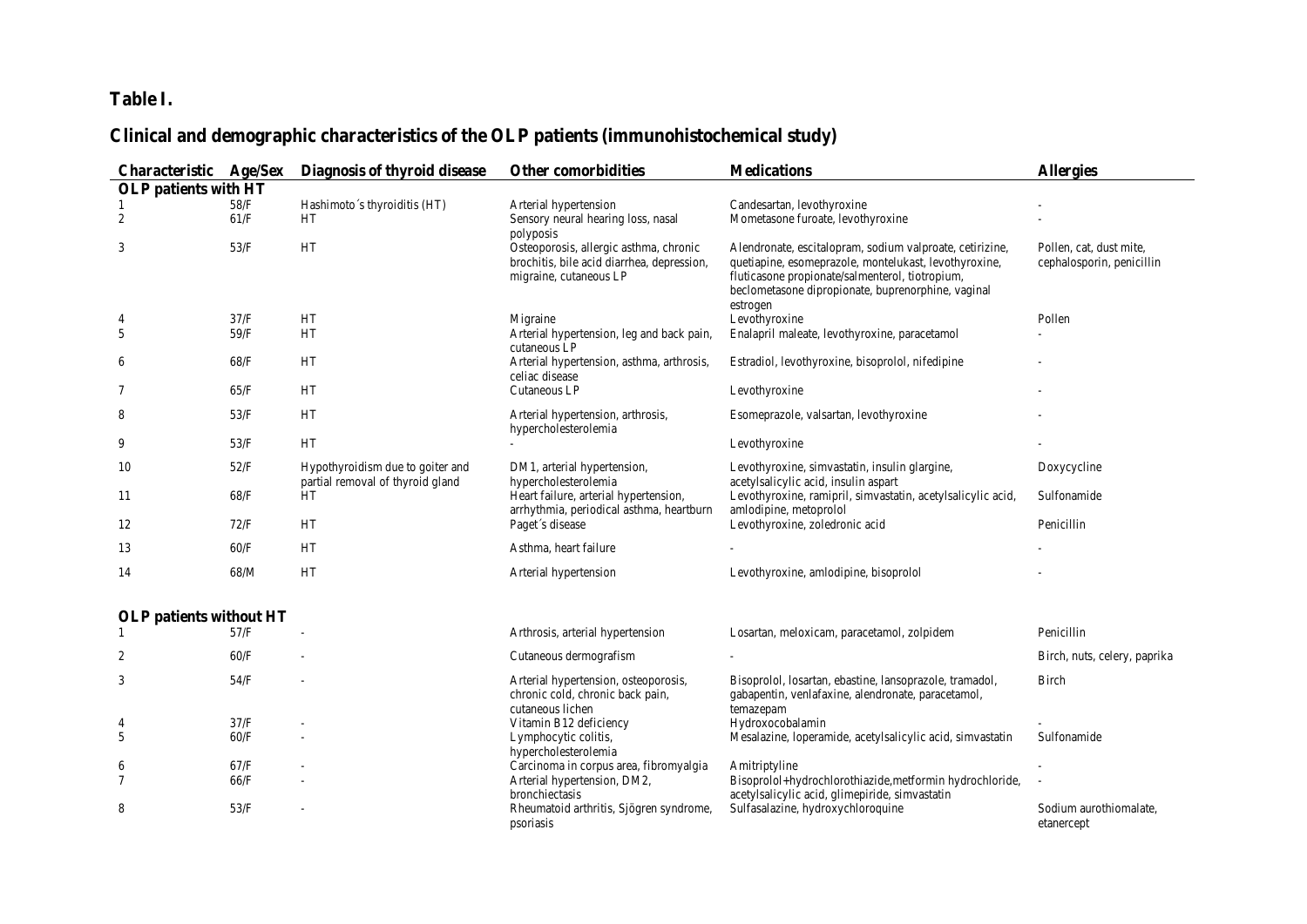## **Table I.**

# **Clinical and demographic characteristics of the OLP patients (immunohistochemical study)**

| Characteristic Age/Sex         |      | Diagnosis of thyroid disease                                                                                                                                                     | <b>Other comorbidities</b>                                                                                     | <b>Medications</b>                                                                                                                                                                                                                     | <b>Allergies</b>                                     |  |  |
|--------------------------------|------|----------------------------------------------------------------------------------------------------------------------------------------------------------------------------------|----------------------------------------------------------------------------------------------------------------|----------------------------------------------------------------------------------------------------------------------------------------------------------------------------------------------------------------------------------------|------------------------------------------------------|--|--|
| <b>OLP</b> patients with HT    |      |                                                                                                                                                                                  |                                                                                                                |                                                                                                                                                                                                                                        |                                                      |  |  |
|                                | 58/F | Hashimoto's thyroiditis (HT)                                                                                                                                                     | Arterial hypertension                                                                                          | Candesartan, levothyroxine                                                                                                                                                                                                             |                                                      |  |  |
| $\overline{c}$                 | 61/F | HT                                                                                                                                                                               | Sensory neural hearing loss, nasal<br>polyposis                                                                | Mometasone furoate, levothyroxine                                                                                                                                                                                                      |                                                      |  |  |
| 3                              | 53/F | HT                                                                                                                                                                               | Osteoporosis, allergic asthma, chronic<br>brochitis, bile acid diarrhea, depression,<br>migraine, cutaneous LP | Alendronate, escitalopram, sodium valproate, cetirizine,<br>quetiapine, esomeprazole, montelukast, levothyroxine,<br>fluticasone propionate/salmenterol, tiotropium,<br>beclometasone dipropionate, buprenorphine, vaginal<br>estrogen | Pollen, cat, dust mite,<br>cephalosporin, penicillin |  |  |
| 4                              | 37/F | HT                                                                                                                                                                               | Migraine                                                                                                       | Levothyroxine                                                                                                                                                                                                                          | Pollen                                               |  |  |
| 5                              | 59/F | HT                                                                                                                                                                               | Arterial hypertension, leg and back pain,<br>cutaneous LP                                                      | Enalapril maleate, levothyroxine, paracetamol                                                                                                                                                                                          |                                                      |  |  |
| 6                              | 68/F | HT                                                                                                                                                                               | Arterial hypertension, asthma, arthrosis,<br>celiac disease                                                    | Estradiol, levothyroxine, bisoprolol, nifedipine                                                                                                                                                                                       |                                                      |  |  |
| 7                              | 65/F | HT                                                                                                                                                                               | Cutaneous LP                                                                                                   | Levothyroxine                                                                                                                                                                                                                          |                                                      |  |  |
| 8                              | 53/F | HT                                                                                                                                                                               | Arterial hypertension, arthrosis,<br>hypercholesterolemia                                                      | Esomeprazole, valsartan, levothyroxine                                                                                                                                                                                                 |                                                      |  |  |
| 9                              | 53/F | HT                                                                                                                                                                               |                                                                                                                | Levothyroxine                                                                                                                                                                                                                          |                                                      |  |  |
| 10                             | 52/F | Hypothyroidism due to goiter and<br>partial removal of thyroid gland                                                                                                             | DM1, arterial hypertension,<br>hypercholesterolemia                                                            | Levothyroxine, simvastatin, insulin glargine,<br>acetylsalicylic acid, insulin aspart                                                                                                                                                  | Doxycycline                                          |  |  |
| 11                             | 68/F | HT<br>Heart failure, arterial hypertension,<br>Levothyroxine, ramipril, simvastatin, acetylsalicylic acid,<br>arrhythmia, periodical asthma, heartburn<br>amlodipine, metoprolol |                                                                                                                | Sulfonamide                                                                                                                                                                                                                            |                                                      |  |  |
| 12                             | 72/F | HT                                                                                                                                                                               | Paget's disease                                                                                                | Levothyroxine, zoledronic acid                                                                                                                                                                                                         | Penicillin                                           |  |  |
| 13                             | 60/F | HT                                                                                                                                                                               | Asthma, heart failure                                                                                          |                                                                                                                                                                                                                                        |                                                      |  |  |
| 14                             | 68/M | HT                                                                                                                                                                               | Arterial hypertension                                                                                          | Levothyroxine, amlodipine, bisoprolol                                                                                                                                                                                                  |                                                      |  |  |
| <b>OLP</b> patients without HT |      |                                                                                                                                                                                  |                                                                                                                |                                                                                                                                                                                                                                        |                                                      |  |  |
|                                | 57/F |                                                                                                                                                                                  | Arthrosis, arterial hypertension                                                                               | Losartan, meloxicam, paracetamol, zolpidem                                                                                                                                                                                             | Penicillin                                           |  |  |
| $\overline{2}$                 | 60/F |                                                                                                                                                                                  | Cutaneous dermografism                                                                                         |                                                                                                                                                                                                                                        | Birch, nuts, celery, paprika                         |  |  |
| 3                              | 54/F |                                                                                                                                                                                  | Arterial hypertension, osteoporosis,<br>chronic cold, chronic back pain,<br>cutaneous lichen                   | Bisoprolol, losartan, ebastine, lansoprazole, tramadol,<br>gabapentin, venlafaxine, alendronate, paracetamol,<br>temazepam                                                                                                             | Birch                                                |  |  |
| 4                              | 37/F |                                                                                                                                                                                  | Vitamin B12 deficiency                                                                                         | Hydroxocobalamin                                                                                                                                                                                                                       |                                                      |  |  |
| 5                              | 60/F |                                                                                                                                                                                  | Lymphocytic colitis,<br>hypercholesterolemia                                                                   | Mesalazine, loperamide, acetylsalicylic acid, simvastatin                                                                                                                                                                              | Sulfonamide                                          |  |  |
| 6                              | 67/F |                                                                                                                                                                                  | Carcinoma in corpus area, fibromyalgia                                                                         | Amitriptyline                                                                                                                                                                                                                          |                                                      |  |  |
| $\tau$                         | 66/F |                                                                                                                                                                                  | Arterial hypertension, DM2,<br>bronchiectasis                                                                  | Bisoprolol+hydrochlorothiazide, metformin hydrochloride,<br>acetylsalicylic acid, glimepiride, simvastatin                                                                                                                             |                                                      |  |  |
| 8                              | 53/F |                                                                                                                                                                                  | Rheumatoid arthritis, Sjögren syndrome,<br>psoriasis                                                           | Sulfasalazine, hydroxychloroquine                                                                                                                                                                                                      | Sodium aurothiomalate,<br>etanercept                 |  |  |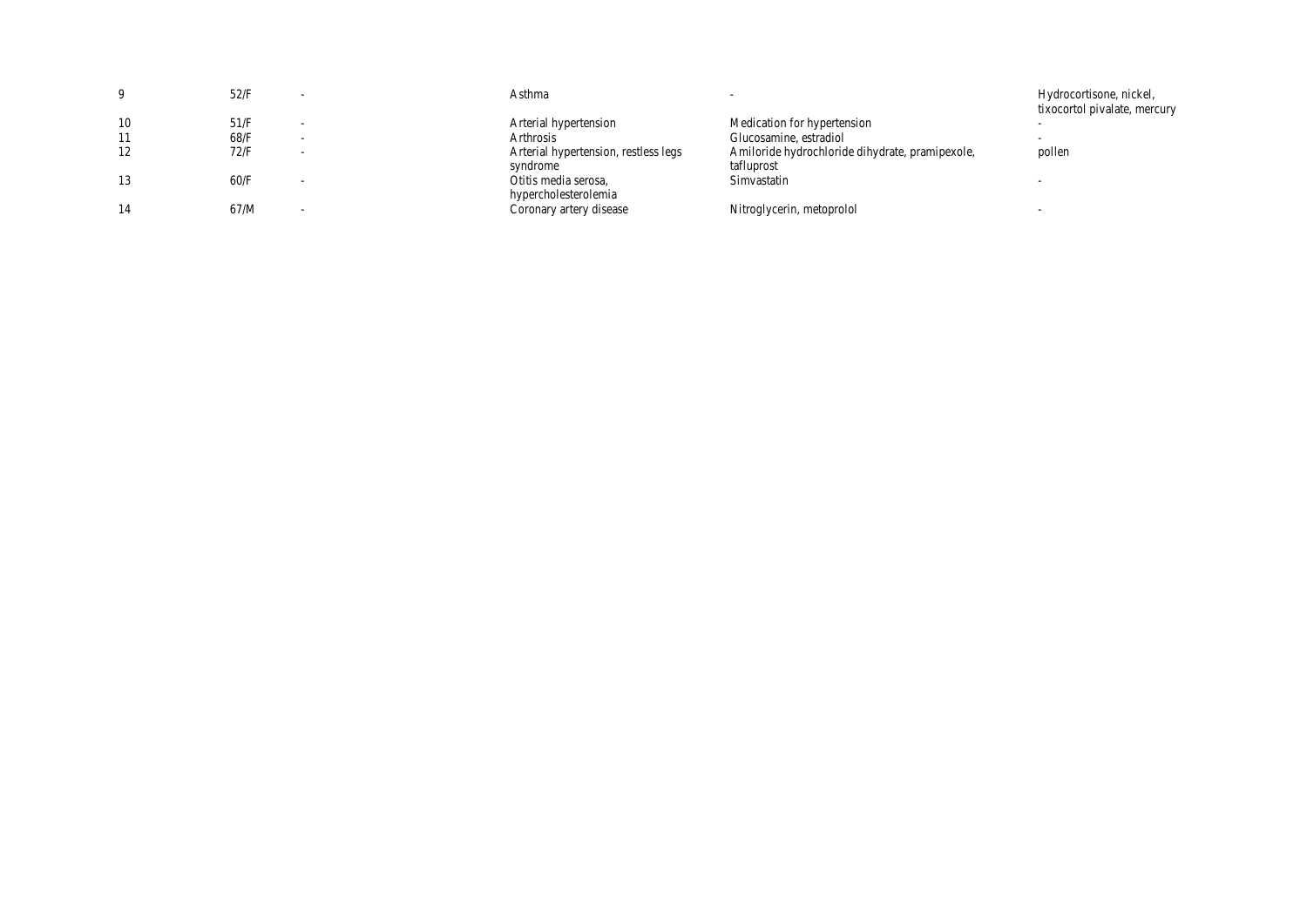| 52/F<br>Asthma<br>-                                                                                        | Hydrocortisone, nickel,<br>tixocortol pivalate, mercury |
|------------------------------------------------------------------------------------------------------------|---------------------------------------------------------|
| 10<br>Arterial hypertension<br>Medication for hypertension<br>51/F<br>-                                    |                                                         |
| 68/F<br>Glucosamine, estradiol<br>Arthrosis<br>-                                                           |                                                         |
| 72/F<br>Amiloride hydrochloride dihydrate, pramipexole,<br>Arterial hypertension, restless legs<br>12<br>- | pollen                                                  |
| tafluprost<br>syndrome                                                                                     |                                                         |
| 13<br>60/F<br>Otitis media serosa,<br>Simvastatin<br>-                                                     |                                                         |
| hypercholesterolemia                                                                                       |                                                         |
| Nitroglycerin, metoprolol<br>14<br>67/M<br>Coronary artery disease<br>-                                    |                                                         |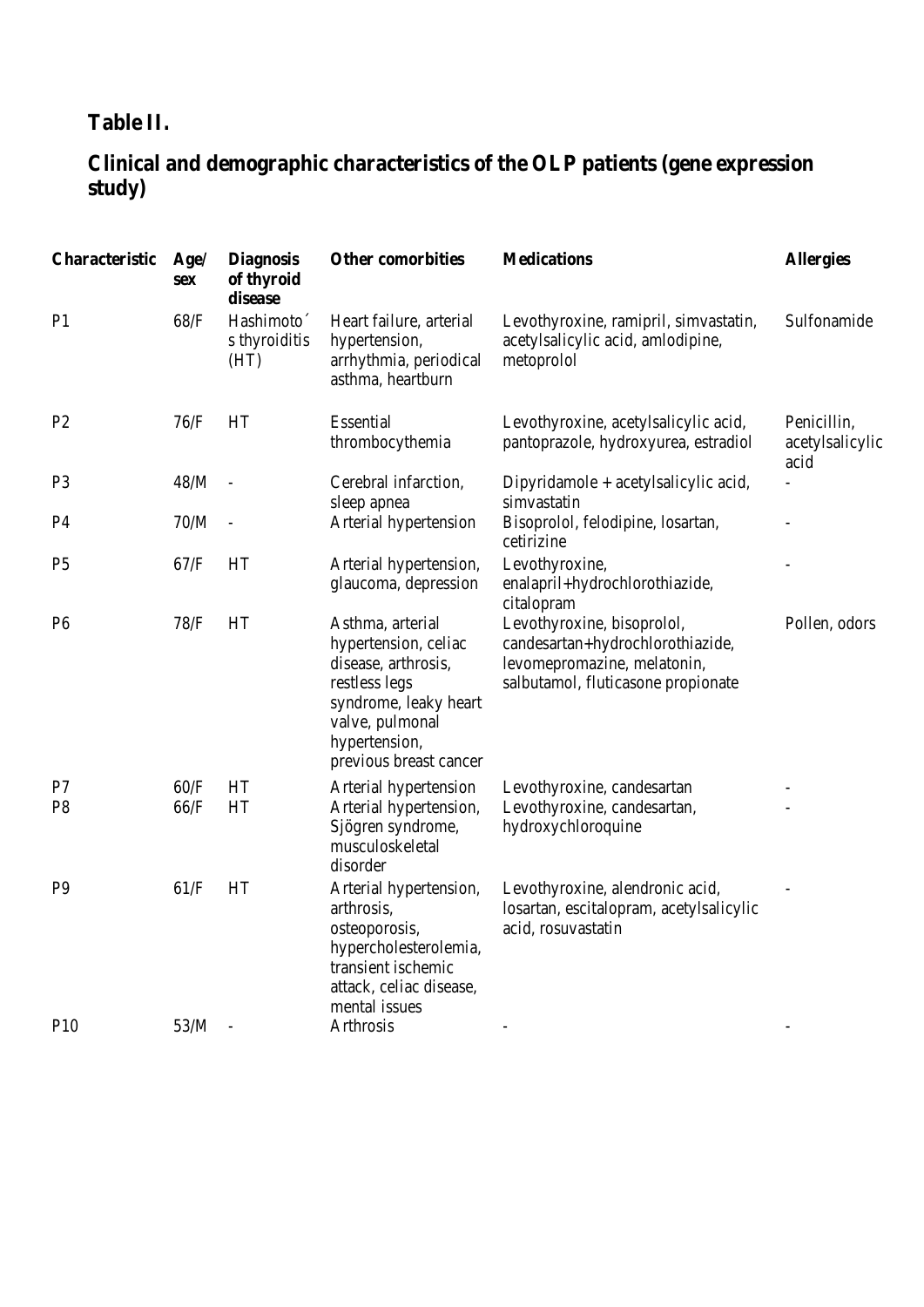# **Table II.**

# **Clinical and demographic characteristics of the OLP patients (gene expression study)**

| Characteristic | Age/<br>sex | <b>Diagnosis</b><br>of thyroid<br>disease       | <b>Other comorbities</b>                                                                                                                                                | <b>Medications</b>                                                                                                                  | <b>Allergies</b>                       |  |
|----------------|-------------|-------------------------------------------------|-------------------------------------------------------------------------------------------------------------------------------------------------------------------------|-------------------------------------------------------------------------------------------------------------------------------------|----------------------------------------|--|
| P <sub>1</sub> | 68/F        | Hashimoto <sup>2</sup><br>s thyroiditis<br>(HT) | Heart failure, arterial<br>hypertension,<br>arrhythmia, periodical<br>asthma, heartburn                                                                                 | Levothyroxine, ramipril, simvastatin,<br>acetylsalicylic acid, amlodipine,<br>metoprolol                                            | Sulfonamide                            |  |
| P <sub>2</sub> | 76/F        | <b>HT</b>                                       | Essential<br>thrombocythemia                                                                                                                                            | Levothyroxine, acetylsalicylic acid,<br>pantoprazole, hydroxyurea, estradiol                                                        | Penicillin,<br>acetylsalicylic<br>acid |  |
| P <sub>3</sub> | 48/M        |                                                 | Cerebral infarction,<br>sleep apnea                                                                                                                                     | Dipyridamole + acetylsalicylic acid,<br>simvastatin                                                                                 |                                        |  |
| P4             | 70/M        |                                                 | Arterial hypertension                                                                                                                                                   | Bisoprolol, felodipine, losartan,<br>cetirizine                                                                                     |                                        |  |
| P <sub>5</sub> | 67/F        | HT                                              | Arterial hypertension,<br>glaucoma, depression                                                                                                                          | Levothyroxine,<br>enalapril+hydrochlorothiazide,<br>citalopram                                                                      |                                        |  |
| P <sub>6</sub> | 78/F        | <b>HT</b>                                       | Asthma, arterial<br>hypertension, celiac<br>disease, arthrosis,<br>restless legs<br>syndrome, leaky heart<br>valve, pulmonal<br>hypertension,<br>previous breast cancer | Levothyroxine, bisoprolol,<br>candesartan+hydrochlorothiazide,<br>levomepromazine, melatonin,<br>salbutamol, fluticasone propionate | Pollen, odors                          |  |
| P7             | 60/F        | <b>HT</b>                                       | Arterial hypertension                                                                                                                                                   | Levothyroxine, candesartan                                                                                                          |                                        |  |
| P <sub>8</sub> | 66/F        | HT                                              | Arterial hypertension,<br>Sjögren syndrome,<br>musculoskeletal<br>disorder                                                                                              | Levothyroxine, candesartan,<br>hydroxychloroquine                                                                                   |                                        |  |
| P <sub>9</sub> | 61/F        | HT                                              | Arterial hypertension,<br>arthrosis,<br>osteoporosis,<br>hypercholesterolemia,<br>transient ischemic<br>attack, celiac disease,<br>mental issues                        | Levothyroxine, alendronic acid,<br>losartan, escitalopram, acetylsalicylic<br>acid, rosuvastatin                                    |                                        |  |
| P10            | 53/M        |                                                 | Arthrosis                                                                                                                                                               |                                                                                                                                     |                                        |  |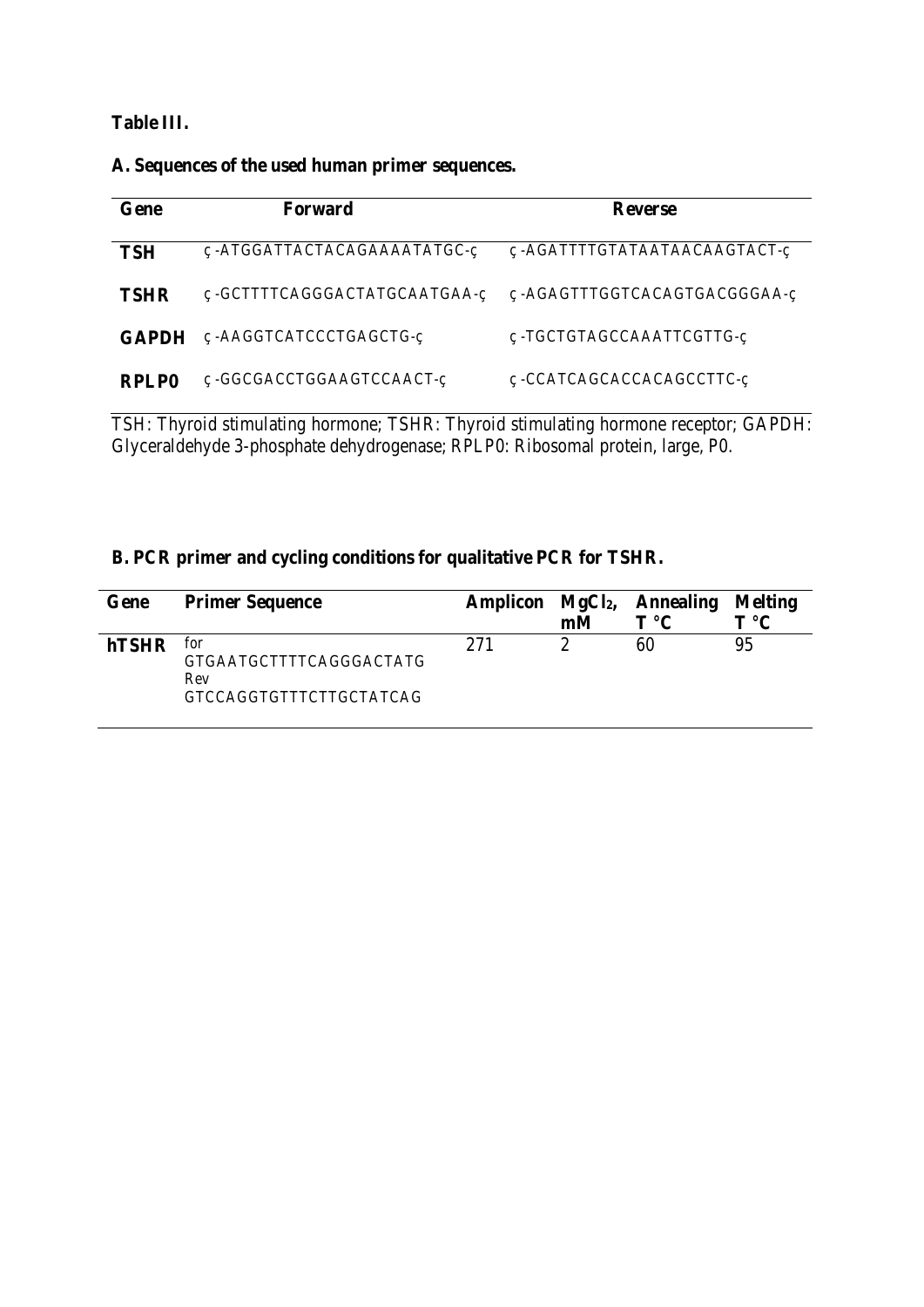#### **Table III.**

| Gene         | <b>Forward</b>                                 | <b>Reverse</b>                                 |  |  |
|--------------|------------------------------------------------|------------------------------------------------|--|--|
| TSH          | $\bullet$ -ATGGATTACTACAGAAAATATGC- $\bullet$  | $\bullet$ -AGATTTTGTATAATAACAAGTACT- $\bullet$ |  |  |
| TSHR         | $\bullet$ -GCTTTTCAGGGACTATGCAATGAA- $\bullet$ | $\bullet$ -AGAGTTTGGTCACAGTGACGGGAA-           |  |  |
| <b>GAPDH</b> | • -AAGGTCATCCCTGAGCTG-•                        | • -TGCTGTAGCCAAATTCGTTG-•                      |  |  |
| RPLP0        | $\bullet$ -GGCGACCTGGAAGTCCAACT- $\bullet$     | $\bullet$ -CCATCAGCACCACAGCCTTC- $\bullet$     |  |  |

**A. Sequences of the used human primer sequences.**

TSH: Thyroid stimulating hormone; TSHR: Thyroid stimulating hormone receptor; GAPDH: Glyceraldehyde 3-phosphate dehydrogenase; RPLP0: Ribosomal protein, large, P0.

### **B. PCR primer and cycling conditions for qualitative PCR for TSHR.**

| Gene  | <b>Primer Sequence</b>                                                  |     | mM | Amplicon MgCl <sub>2</sub> , Annealing<br>$\mathbf{T} \circ \mathbf{C}$ | Melting<br>$\mathbf{T} \circ \mathbf{C}$ |
|-------|-------------------------------------------------------------------------|-----|----|-------------------------------------------------------------------------|------------------------------------------|
| hTSHR | for<br>GTGAATGCTTTTCAGGGACTATG<br>Rev<br><b>GTCCAGGTGTTTCTTGCTATCAG</b> | 271 |    | 60                                                                      | 95                                       |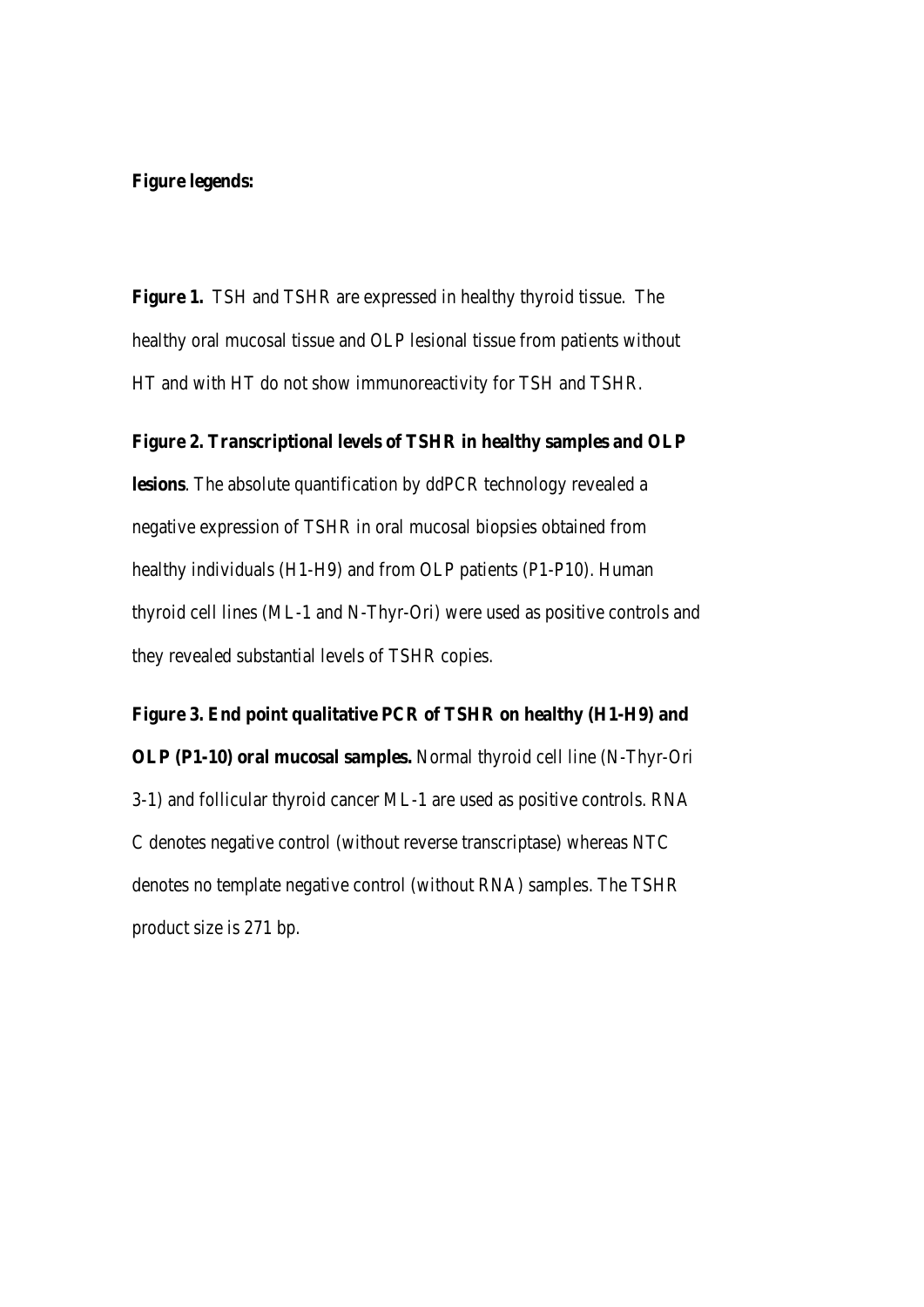#### **Figure legends:**

**Figure 1.** TSH and TSHR are expressed in healthy thyroid tissue. The healthy oral mucosal tissue and OLP lesional tissue from patients without HT and with HT do not show immunoreactivity for TSH and TSHR.

#### **Figure 2. Transcriptional levels of TSHR in healthy samples and OLP**

**lesions**. The absolute quantification by ddPCR technology revealed a negative expression of TSHR in oral mucosal biopsies obtained from healthy individuals (H1-H9) and from OLP patients (P1-P10). Human thyroid cell lines (ML-1 and N-Thyr-Ori) were used as positive controls and they revealed substantial levels of TSHR copies.

**Figure 3. End point qualitative PCR of TSHR on healthy (H1-H9) and OLP (P1-10) oral mucosal samples.** Normal thyroid cell line (N-Thyr-Ori 3-1) and follicular thyroid cancer ML-1 are used as positive controls. RNA C denotes negative control (without reverse transcriptase) whereas NTC denotes no template negative control (without RNA) samples. The TSHR product size is 271 bp.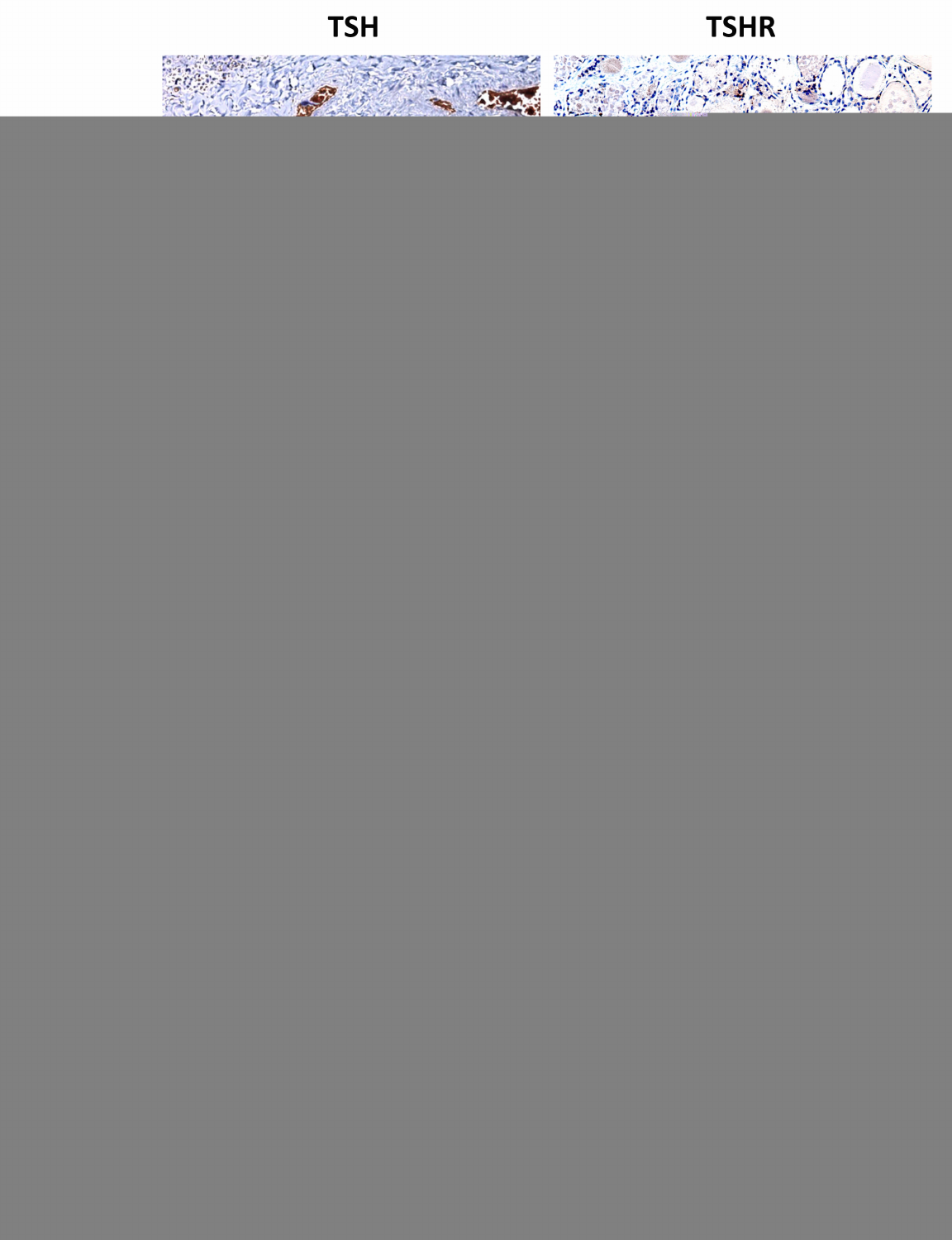

# TSHR